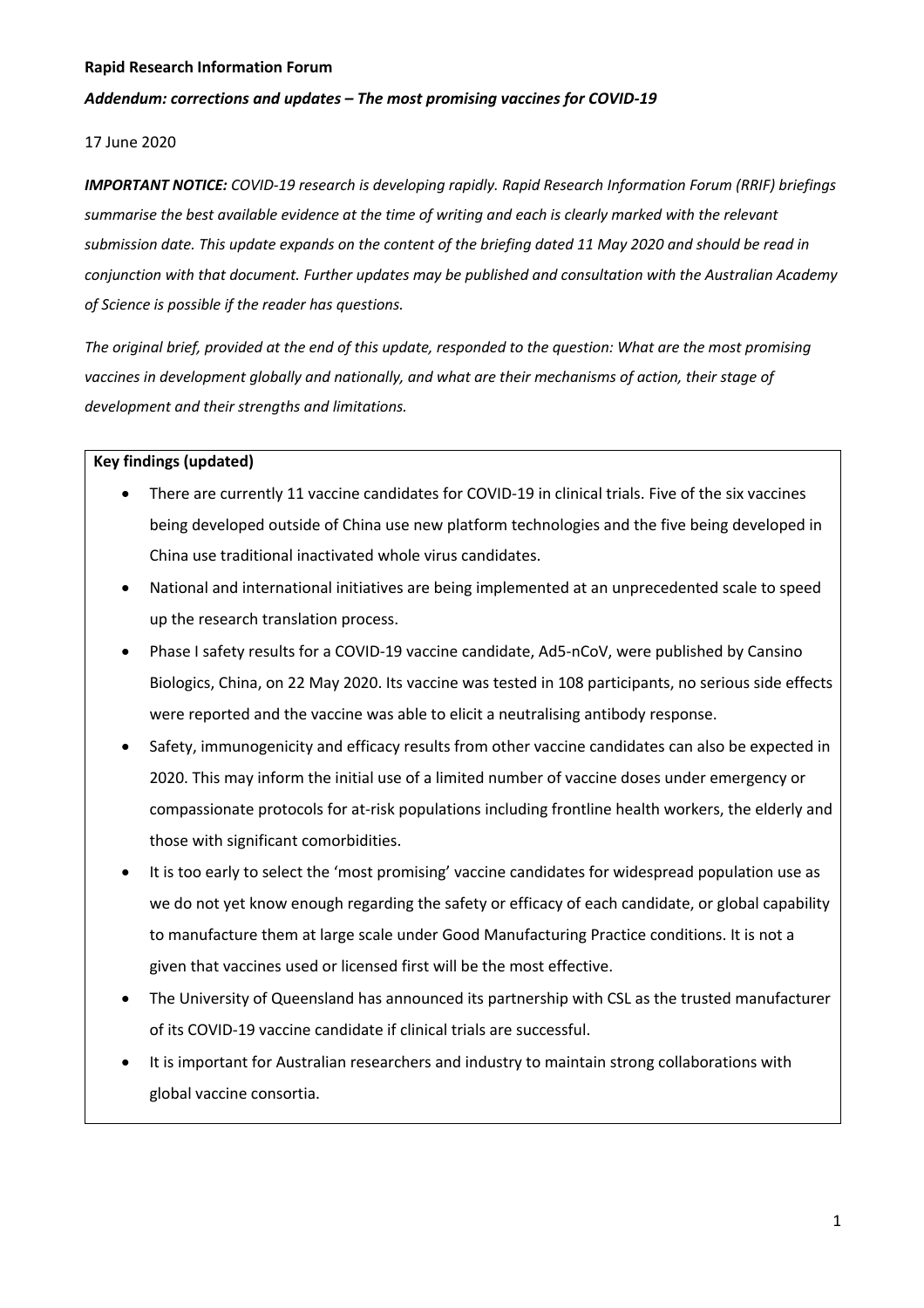#### *Addendum: corrections and updates – The most promising vaccines for COVID-19*

#### 17 June 2020

*IMPORTANT NOTICE: COVID-19 research is developing rapidly. Rapid Research Information Forum (RRIF) briefings summarise the best available evidence at the time of writing and each is clearly marked with the relevant submission date. This update expands on the content of the briefing dated 11 May 2020 and should be read in conjunction with that document. Further updates may be published and consultation with the Australian Academy of Science is possible if the reader has questions.*

*The original brief, provided at the end of this update, responded to the question: What are the most promising vaccines in development globally and nationally, and what are their mechanisms of action, their stage of development and their strengths and limitations.*

#### **Key findings (updated)**

- There are currently 11 vaccine candidates for COVID-19 in clinical trials. Five of the six vaccines being developed outside of China use new platform technologies and the five being developed in China use traditional inactivated whole virus candidates.
- National and international initiatives are being implemented at an unprecedented scale to speed up the research translation process.
- Phase I safety results for a COVID-19 vaccine candidate, Ad5-nCoV, were published by Cansino Biologics, China, on 22 May 2020. Its vaccine was tested in 108 participants, no serious side effects were reported and the vaccine was able to elicit a neutralising antibody response.
- Safety, immunogenicity and efficacy results from other vaccine candidates can also be expected in 2020. This may inform the initial use of a limited number of vaccine doses under emergency or compassionate protocols for at-risk populations including frontline health workers, the elderly and those with significant comorbidities.
- It is too early to select the 'most promising' vaccine candidates for widespread population use as we do not yet know enough regarding the safety or efficacy of each candidate, or global capability to manufacture them at large scale under Good Manufacturing Practice conditions. It is not a given that vaccines used or licensed first will be the most effective.
- The University of Queensland has announced its partnership with CSL as the trusted manufacturer of its COVID-19 vaccine candidate if clinical trials are successful.
- It is important for Australian researchers and industry to maintain strong collaborations with global vaccine consortia.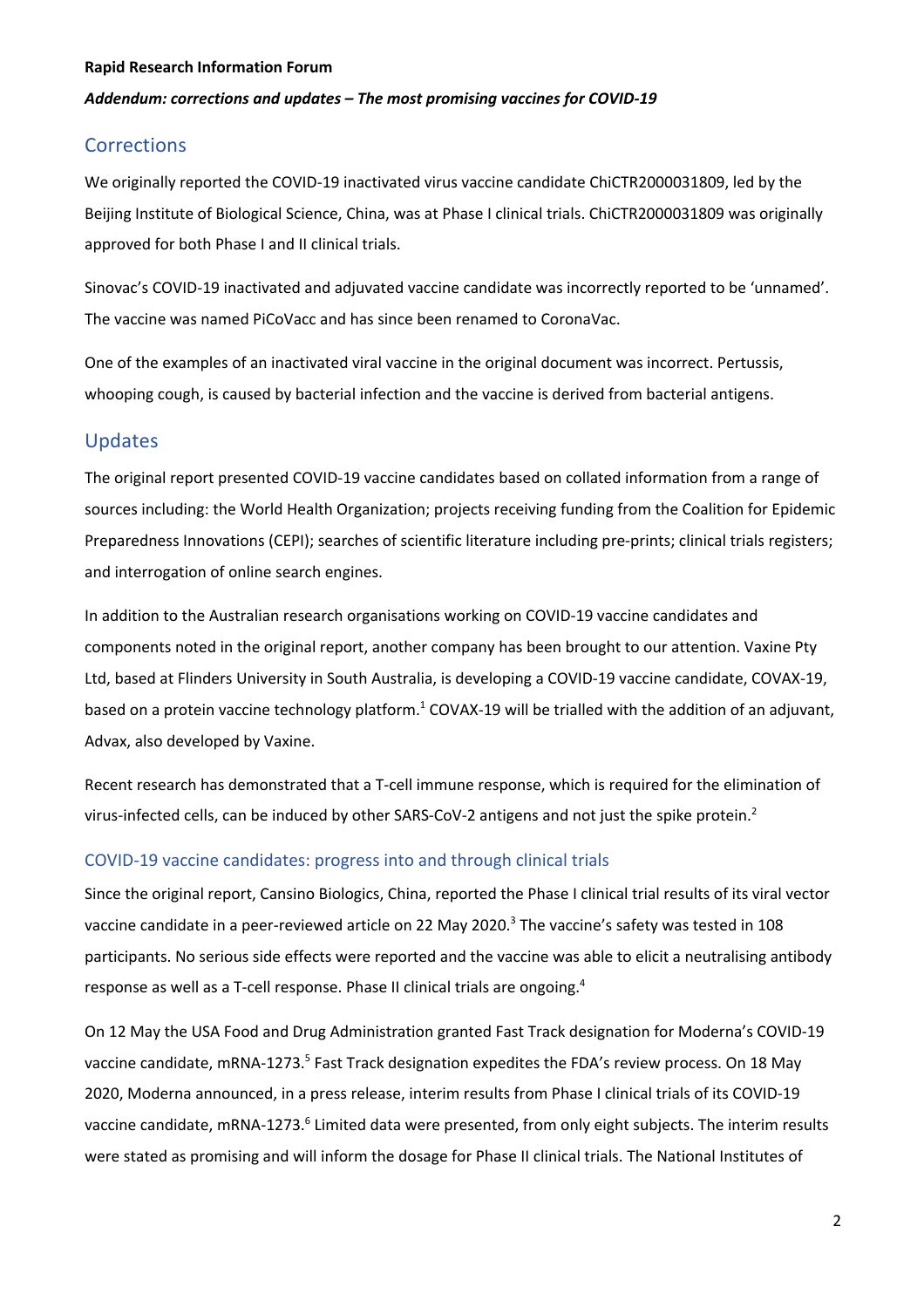#### *Addendum: corrections and updates – The most promising vaccines for COVID-19*

# **Corrections**

We originally reported the COVID-19 inactivated virus vaccine candidate ChiCTR2000031809, led by the Beijing Institute of Biological Science, China, was at Phase I clinical trials. ChiCTR2000031809 was originally approved for both Phase I and II clinical trials.

Sinovac's COVID-19 inactivated and adjuvated vaccine candidate was incorrectly reported to be 'unnamed'. The vaccine was named PiCoVacc and has since been renamed to CoronaVac.

One of the examples of an inactivated viral vaccine in the original document was incorrect. Pertussis, whooping cough, is caused by bacterial infection and the vaccine is derived from bacterial antigens.

# Updates

The original report presented COVID-19 vaccine candidates based on collated information from a range of sources including: the World Health Organization; projects receiving funding from the Coalition for Epidemic Preparedness Innovations (CEPI); searches of scientific literature including pre-prints; clinical trials registers; and interrogation of online search engines.

In addition to the Australian research organisations working on COVID-19 vaccine candidates and components noted in the original report, another company has been brought to our attention. Vaxine Pty Ltd, based at Flinders University in South Australia, is developing a COVID-19 vaccine candidate, COVAX-19, based on a protein vaccine technology platform.<sup>1</sup> COVAX-19 will be trialled with the addition of an adjuvant, Advax, also developed by Vaxine.

Recent research has demonstrated that a T-cell immune response, which is required for the elimination of virus-infected cells, can be induced by other SARS-CoV-2 antigens and not just the spike protein.2

#### COVID-19 vaccine candidates: progress into and through clinical trials

Since the original report, Cansino Biologics, China, reported the Phase I clinical trial results of its viral vector vaccine candidate in a peer-reviewed article on 22 May 2020.<sup>3</sup> The vaccine's safety was tested in 108 participants. No serious side effects were reported and the vaccine was able to elicit a neutralising antibody response as well as a T-cell response. Phase II clinical trials are ongoing.<sup>4</sup>

On 12 May the USA Food and Drug Administration granted Fast Track designation for Moderna's COVID-19 vaccine candidate, mRNA-1273.<sup>5</sup> Fast Track designation expedites the FDA's review process. On 18 May 2020, Moderna announced, in a press release, interim results from Phase I clinical trials of its COVID-19 vaccine candidate, mRNA-1273.<sup>6</sup> Limited data were presented, from only eight subjects. The interim results were stated as promising and will inform the dosage for Phase II clinical trials. The National Institutes of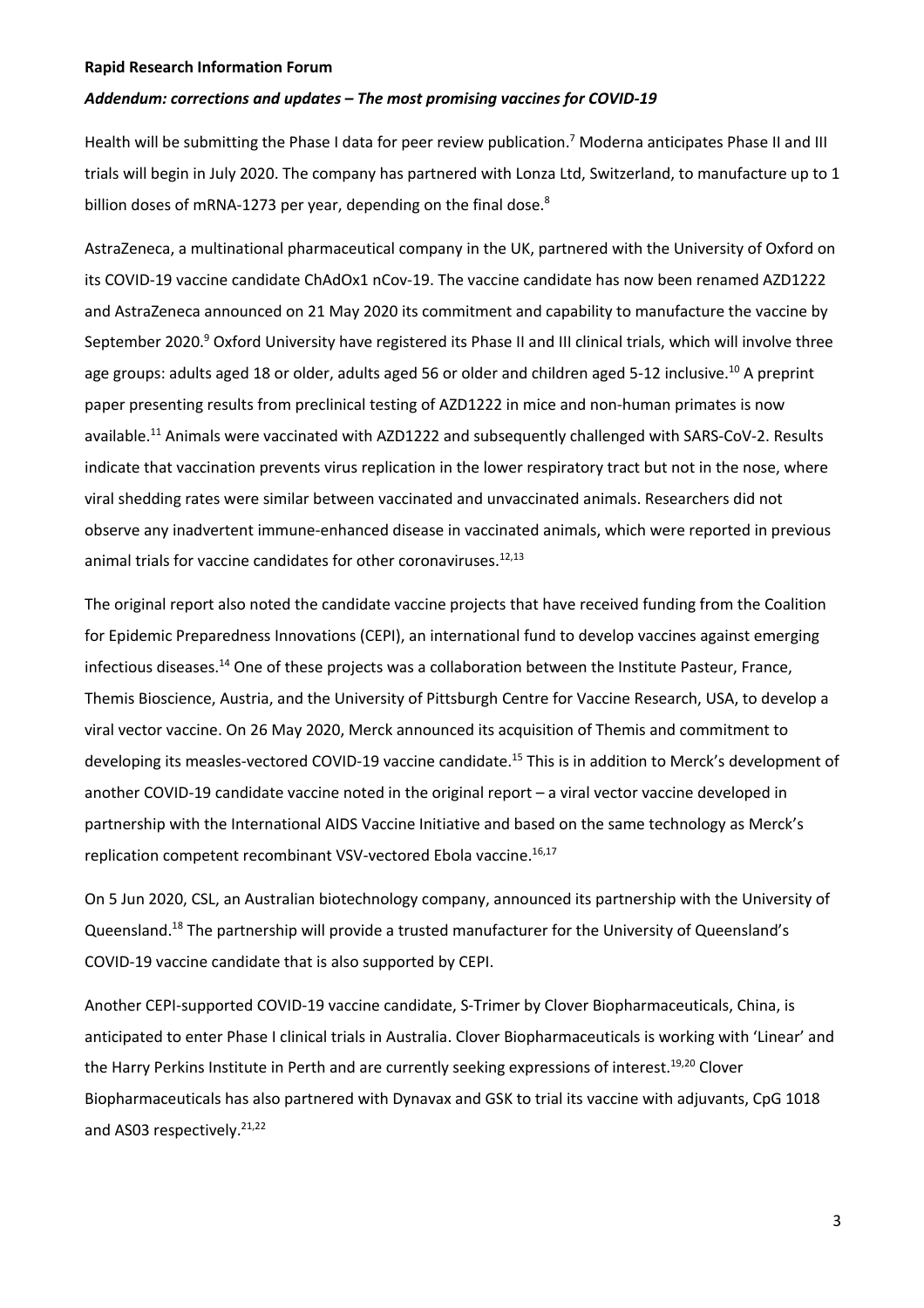#### *Addendum: corrections and updates – The most promising vaccines for COVID-19*

Health will be submitting the Phase I data for peer review publication.<sup>7</sup> Moderna anticipates Phase II and III trials will begin in July 2020. The company has partnered with Lonza Ltd, Switzerland, to manufacture up to 1 billion doses of mRNA-1273 per year, depending on the final dose.<sup>8</sup>

AstraZeneca, a multinational pharmaceutical company in the UK, partnered with the University of Oxford on its COVID-19 vaccine candidate ChAdOx1 nCov-19. The vaccine candidate has now been renamed AZD1222 and AstraZeneca announced on 21 May 2020 its commitment and capability to manufacture the vaccine by September 2020.<sup>9</sup> Oxford University have registered its Phase II and III clinical trials, which will involve three age groups: adults aged 18 or older, adults aged 56 or older and children aged 5-12 inclusive.<sup>10</sup> A preprint paper presenting results from preclinical testing of AZD1222 in mice and non-human primates is now available.<sup>11</sup> Animals were vaccinated with AZD1222 and subsequently challenged with SARS-CoV-2. Results indicate that vaccination prevents virus replication in the lower respiratory tract but not in the nose, where viral shedding rates were similar between vaccinated and unvaccinated animals. Researchers did not observe any inadvertent immune-enhanced disease in vaccinated animals, which were reported in previous animal trials for vaccine candidates for other coronaviruses.<sup>12,13</sup>

The original report also noted the candidate vaccine projects that have received funding from the Coalition for Epidemic Preparedness Innovations (CEPI), an international fund to develop vaccines against emerging infectious diseases.14 One of these projects was a collaboration between the Institute Pasteur, France, Themis Bioscience, Austria, and the University of Pittsburgh Centre for Vaccine Research, USA, to develop a viral vector vaccine. On 26 May 2020, Merck announced its acquisition of Themis and commitment to developing its measles-vectored COVID-19 vaccine candidate.<sup>15</sup> This is in addition to Merck's development of another COVID-19 candidate vaccine noted in the original report – a viral vector vaccine developed in partnership with the International AIDS Vaccine Initiative and based on the same technology as Merck's replication competent recombinant VSV-vectored Ebola vaccine.<sup>16,17</sup>

On 5 Jun 2020, CSL, an Australian biotechnology company, announced its partnership with the University of Queensland.<sup>18</sup> The partnership will provide a trusted manufacturer for the University of Queensland's COVID-19 vaccine candidate that is also supported by CEPI.

Another CEPI-supported COVID-19 vaccine candidate, S-Trimer by Clover Biopharmaceuticals, China, is anticipated to enter Phase I clinical trials in Australia. Clover Biopharmaceuticals is working with 'Linear' and the Harry Perkins Institute in Perth and are currently seeking expressions of interest.<sup>19,20</sup> Clover Biopharmaceuticals has also partnered with Dynavax and GSK to trial its vaccine with adjuvants, CpG 1018 and AS03 respectively.<sup>21,22</sup>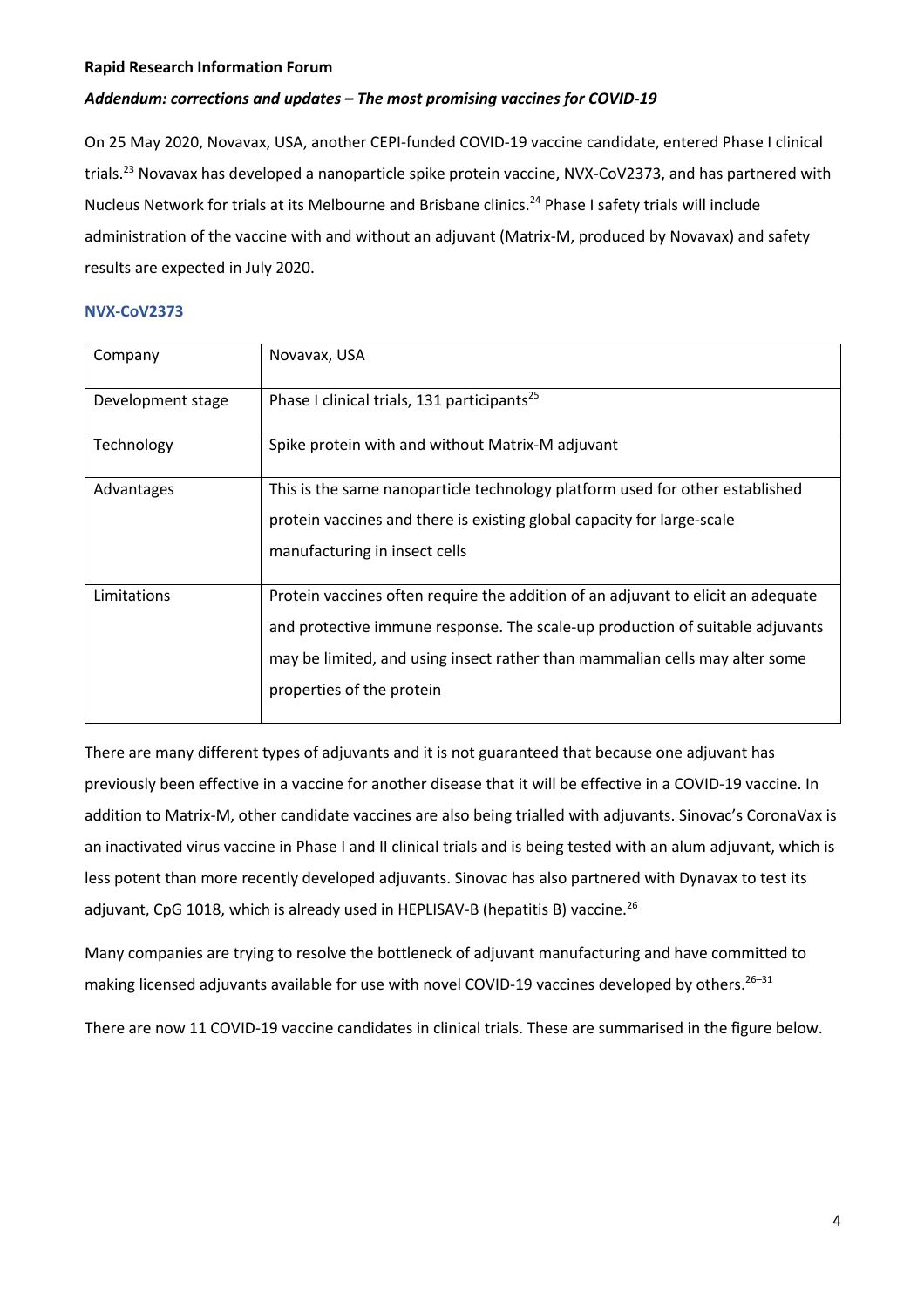#### *Addendum: corrections and updates – The most promising vaccines for COVID-19*

On 25 May 2020, Novavax, USA, another CEPI-funded COVID-19 vaccine candidate, entered Phase I clinical trials.<sup>23</sup> Novavax has developed a nanoparticle spike protein vaccine, NVX-CoV2373, and has partnered with Nucleus Network for trials at its Melbourne and Brisbane clinics.<sup>24</sup> Phase I safety trials will include administration of the vaccine with and without an adjuvant (Matrix-M, produced by Novavax) and safety results are expected in July 2020.

#### **NVX-CoV2373**

| Company           | Novavax, USA                                                                                                                                                                                                                                                                  |
|-------------------|-------------------------------------------------------------------------------------------------------------------------------------------------------------------------------------------------------------------------------------------------------------------------------|
| Development stage | Phase I clinical trials, 131 participants <sup>25</sup>                                                                                                                                                                                                                       |
| Technology        | Spike protein with and without Matrix-M adjuvant                                                                                                                                                                                                                              |
| Advantages        | This is the same nanoparticle technology platform used for other established<br>protein vaccines and there is existing global capacity for large-scale<br>manufacturing in insect cells                                                                                       |
| Limitations       | Protein vaccines often require the addition of an adjuvant to elicit an adequate<br>and protective immune response. The scale-up production of suitable adjuvants<br>may be limited, and using insect rather than mammalian cells may alter some<br>properties of the protein |

There are many different types of adjuvants and it is not guaranteed that because one adjuvant has previously been effective in a vaccine for another disease that it will be effective in a COVID-19 vaccine. In addition to Matrix-M, other candidate vaccines are also being trialled with adjuvants. Sinovac's CoronaVax is an inactivated virus vaccine in Phase I and II clinical trials and is being tested with an alum adjuvant, which is less potent than more recently developed adjuvants. Sinovac has also partnered with Dynavax to test its adjuvant, CpG 1018, which is already used in HEPLISAV-B (hepatitis B) vaccine.<sup>26</sup>

Many companies are trying to resolve the bottleneck of adjuvant manufacturing and have committed to making licensed adjuvants available for use with novel COVID-19 vaccines developed by others.<sup>26-31</sup>

There are now 11 COVID-19 vaccine candidates in clinical trials. These are summarised in the figure below.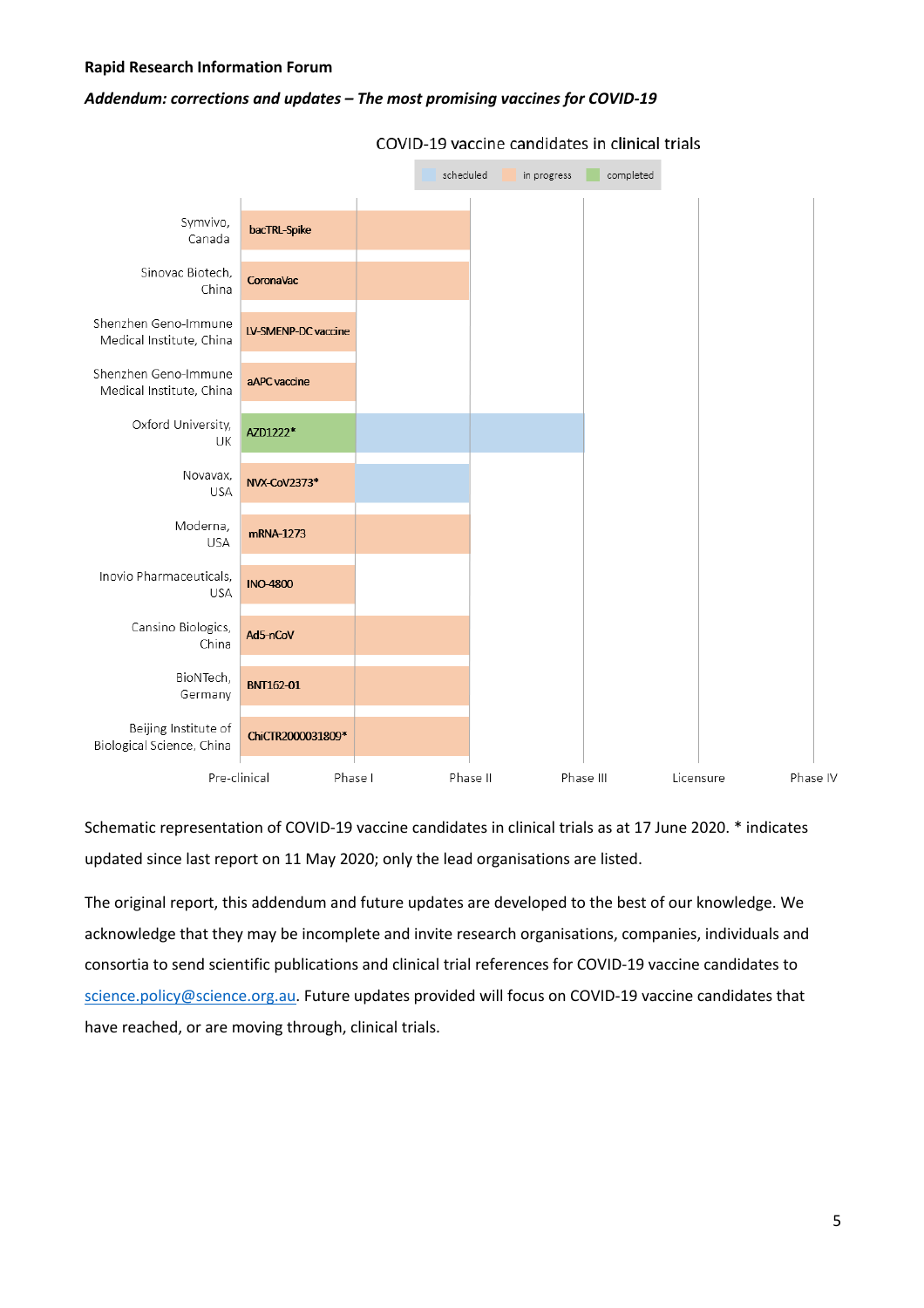#### *Addendum: corrections and updates – The most promising vaccines for COVID-19*



#### COVID-19 vaccine candidates in clinical trials

Schematic representation of COVID-19 vaccine candidates in clinical trials as at 17 June 2020. \* indicates updated since last report on 11 May 2020; only the lead organisations are listed.

The original report, this addendum and future updates are developed to the best of our knowledge. We acknowledge that they may be incomplete and invite research organisations, companies, individuals and consortia to send scientific publications and clinical trial references for COVID-19 vaccine candidates to science.policy@science.org.au. Future updates provided will focus on COVID-19 vaccine candidates that have reached, or are moving through, clinical trials.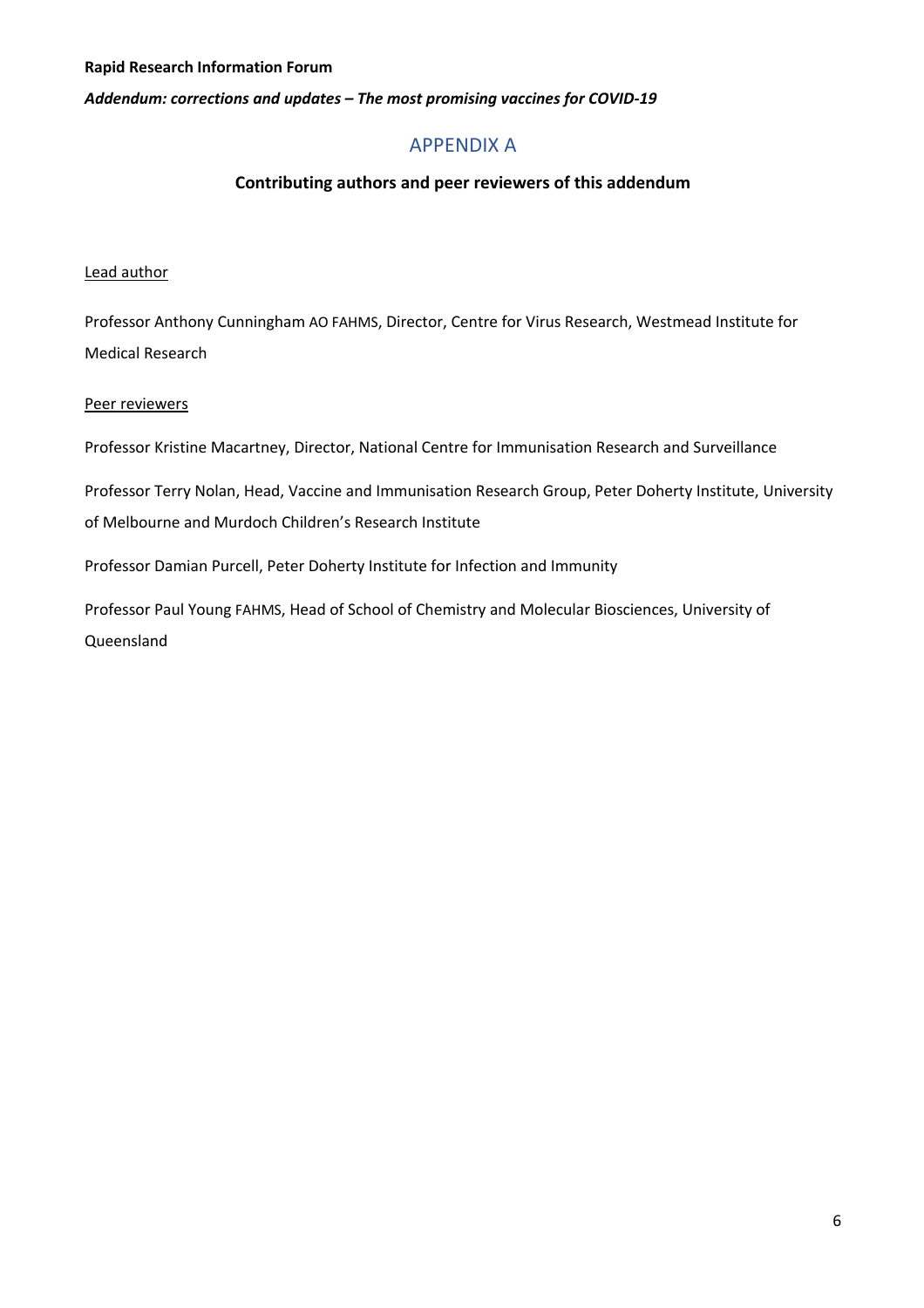*Addendum: corrections and updates – The most promising vaccines for COVID-19*

# APPENDIX A

#### **Contributing authors and peer reviewers of this addendum**

#### Lead author

Professor Anthony Cunningham AO FAHMS, Director, Centre for Virus Research, Westmead Institute for Medical Research

#### Peer reviewers

Professor Kristine Macartney, Director, National Centre for Immunisation Research and Surveillance

Professor Terry Nolan, Head, Vaccine and Immunisation Research Group, Peter Doherty Institute, University of Melbourne and Murdoch Children's Research Institute

Professor Damian Purcell, Peter Doherty Institute for Infection and Immunity

Professor Paul Young FAHMS, Head of School of Chemistry and Molecular Biosciences, University of Queensland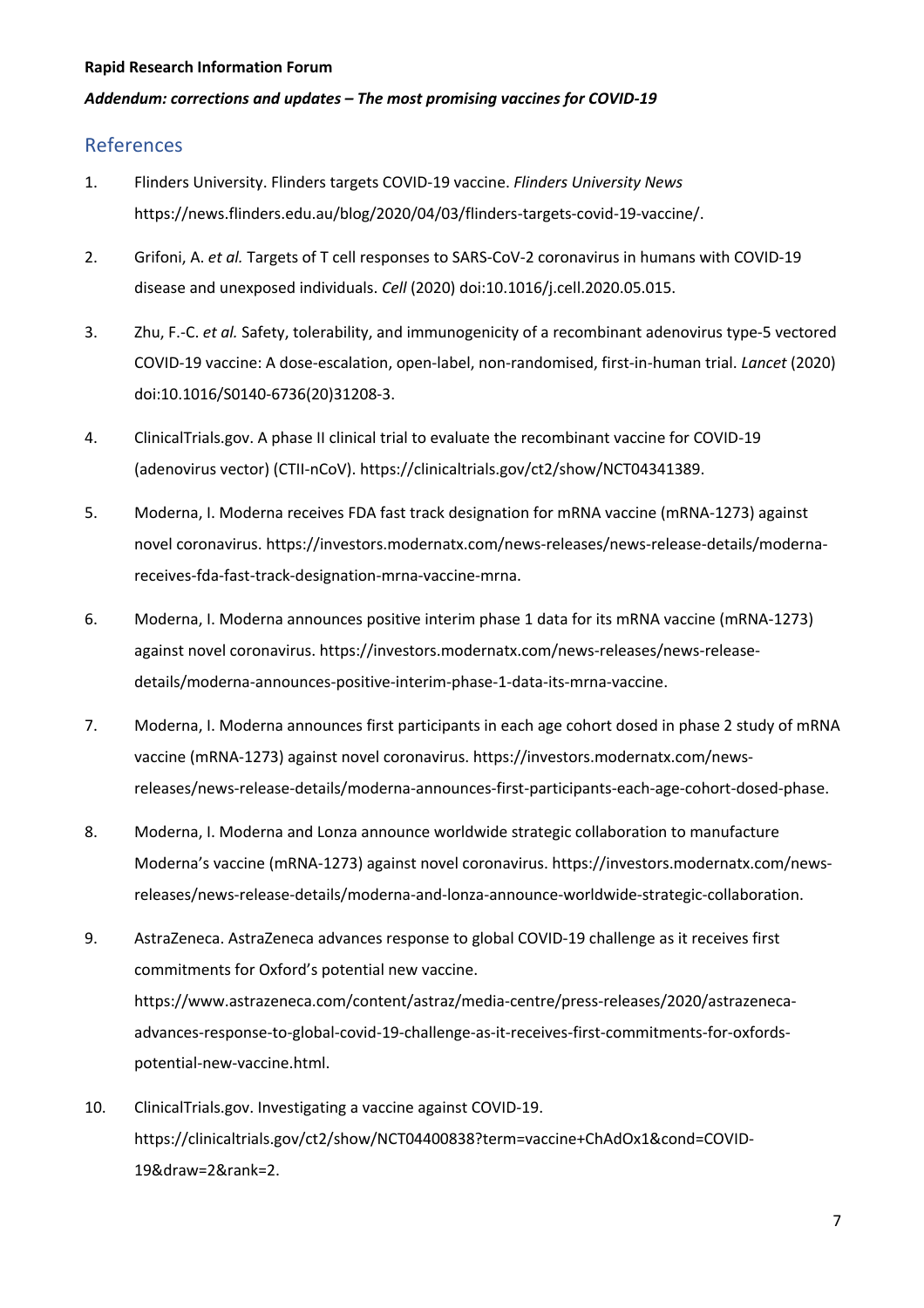#### *Addendum: corrections and updates – The most promising vaccines for COVID-19*

## References

- 1. Flinders University. Flinders targets COVID-19 vaccine. *Flinders University News* https://news.flinders.edu.au/blog/2020/04/03/flinders-targets-covid-19-vaccine/.
- 2. Grifoni, A. *et al.* Targets of T cell responses to SARS-CoV-2 coronavirus in humans with COVID-19 disease and unexposed individuals. *Cell* (2020) doi:10.1016/j.cell.2020.05.015.
- 3. Zhu, F.-C. *et al.* Safety, tolerability, and immunogenicity of a recombinant adenovirus type-5 vectored COVID-19 vaccine: A dose-escalation, open-label, non-randomised, first-in-human trial. *Lancet* (2020) doi:10.1016/S0140-6736(20)31208-3.
- 4. ClinicalTrials.gov. A phase II clinical trial to evaluate the recombinant vaccine for COVID-19 (adenovirus vector) (CTII-nCoV). https://clinicaltrials.gov/ct2/show/NCT04341389.
- 5. Moderna, I. Moderna receives FDA fast track designation for mRNA vaccine (mRNA-1273) against novel coronavirus. https://investors.modernatx.com/news-releases/news-release-details/modernareceives-fda-fast-track-designation-mrna-vaccine-mrna.
- 6. Moderna, I. Moderna announces positive interim phase 1 data for its mRNA vaccine (mRNA-1273) against novel coronavirus. https://investors.modernatx.com/news-releases/news-releasedetails/moderna-announces-positive-interim-phase-1-data-its-mrna-vaccine.
- 7. Moderna, I. Moderna announces first participants in each age cohort dosed in phase 2 study of mRNA vaccine (mRNA-1273) against novel coronavirus. https://investors.modernatx.com/newsreleases/news-release-details/moderna-announces-first-participants-each-age-cohort-dosed-phase.
- 8. Moderna, I. Moderna and Lonza announce worldwide strategic collaboration to manufacture Moderna's vaccine (mRNA-1273) against novel coronavirus. https://investors.modernatx.com/newsreleases/news-release-details/moderna-and-lonza-announce-worldwide-strategic-collaboration.
- 9. AstraZeneca. AstraZeneca advances response to global COVID-19 challenge as it receives first commitments for Oxford's potential new vaccine. https://www.astrazeneca.com/content/astraz/media-centre/press-releases/2020/astrazenecaadvances-response-to-global-covid-19-challenge-as-it-receives-first-commitments-for-oxfordspotential-new-vaccine.html.
- 10. ClinicalTrials.gov. Investigating a vaccine against COVID-19. https://clinicaltrials.gov/ct2/show/NCT04400838?term=vaccine+ChAdOx1&cond=COVID-19&draw=2&rank=2.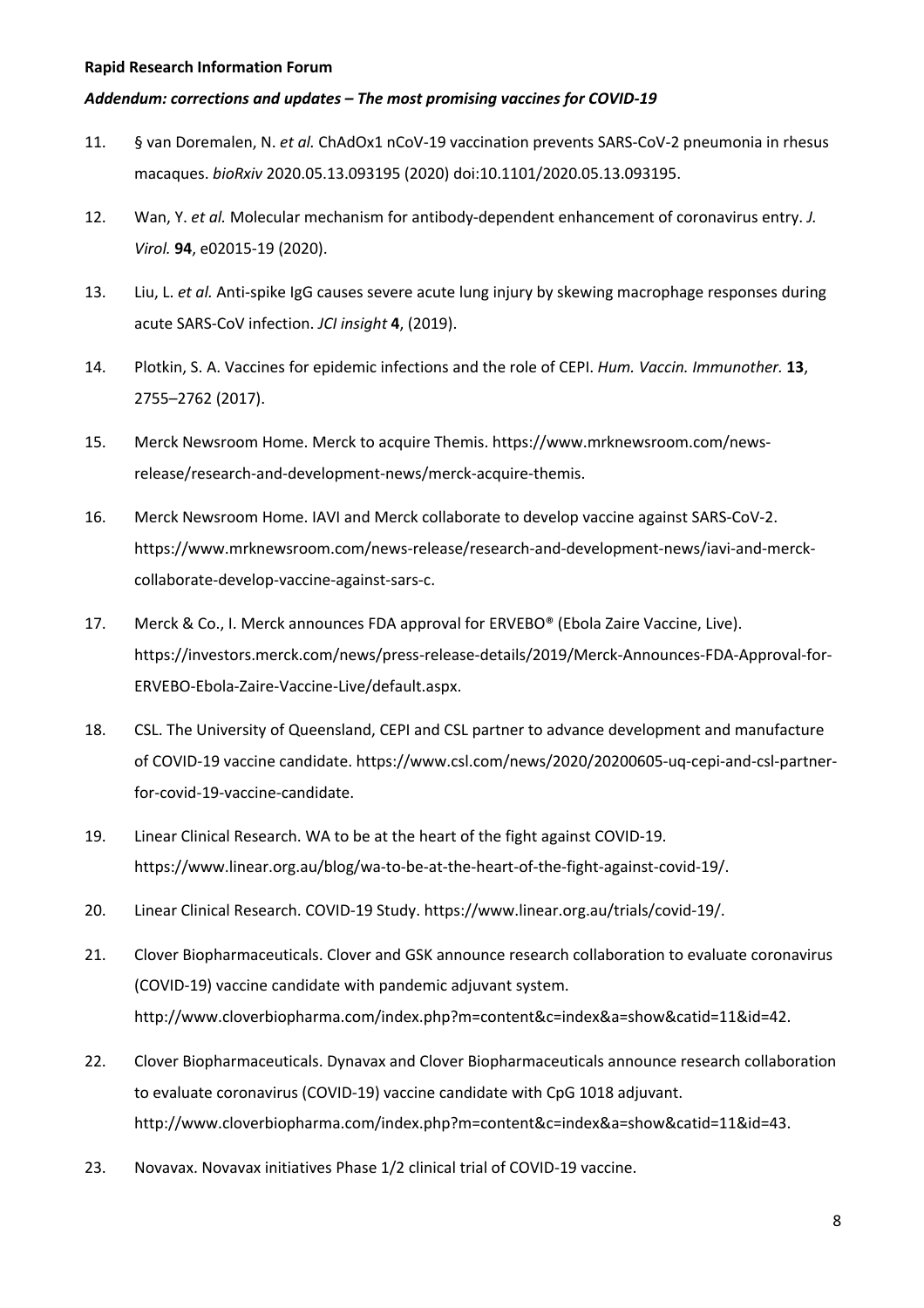#### *Addendum: corrections and updates – The most promising vaccines for COVID-19*

- 11. § van Doremalen, N. *et al.* ChAdOx1 nCoV-19 vaccination prevents SARS-CoV-2 pneumonia in rhesus macaques. *bioRxiv* 2020.05.13.093195 (2020) doi:10.1101/2020.05.13.093195.
- 12. Wan, Y. *et al.* Molecular mechanism for antibody-dependent enhancement of coronavirus entry. *J. Virol.* **94**, e02015-19 (2020).
- 13. Liu, L. *et al.* Anti-spike IgG causes severe acute lung injury by skewing macrophage responses during acute SARS-CoV infection. *JCI insight* **4**, (2019).
- 14. Plotkin, S. A. Vaccines for epidemic infections and the role of CEPI. *Hum. Vaccin. Immunother.* **13**, 2755–2762 (2017).
- 15. Merck Newsroom Home. Merck to acquire Themis. https://www.mrknewsroom.com/newsrelease/research-and-development-news/merck-acquire-themis.
- 16. Merck Newsroom Home. IAVI and Merck collaborate to develop vaccine against SARS-CoV-2. https://www.mrknewsroom.com/news-release/research-and-development-news/iavi-and-merckcollaborate-develop-vaccine-against-sars-c.
- 17. Merck & Co., I. Merck announces FDA approval for ERVEBO® (Ebola Zaire Vaccine, Live). https://investors.merck.com/news/press-release-details/2019/Merck-Announces-FDA-Approval-for-ERVEBO-Ebola-Zaire-Vaccine-Live/default.aspx.
- 18. CSL. The University of Queensland, CEPI and CSL partner to advance development and manufacture of COVID-19 vaccine candidate. https://www.csl.com/news/2020/20200605-uq-cepi-and-csl-partnerfor-covid-19-vaccine-candidate.
- 19. Linear Clinical Research. WA to be at the heart of the fight against COVID-19. https://www.linear.org.au/blog/wa-to-be-at-the-heart-of-the-fight-against-covid-19/.
- 20. Linear Clinical Research. COVID-19 Study. https://www.linear.org.au/trials/covid-19/.
- 21. Clover Biopharmaceuticals. Clover and GSK announce research collaboration to evaluate coronavirus (COVID-19) vaccine candidate with pandemic adjuvant system. http://www.cloverbiopharma.com/index.php?m=content&c=index&a=show&catid=11&id=42.
- 22. Clover Biopharmaceuticals. Dynavax and Clover Biopharmaceuticals announce research collaboration to evaluate coronavirus (COVID-19) vaccine candidate with CpG 1018 adjuvant. http://www.cloverbiopharma.com/index.php?m=content&c=index&a=show&catid=11&id=43.
- 23. Novavax. Novavax initiatives Phase 1/2 clinical trial of COVID-19 vaccine.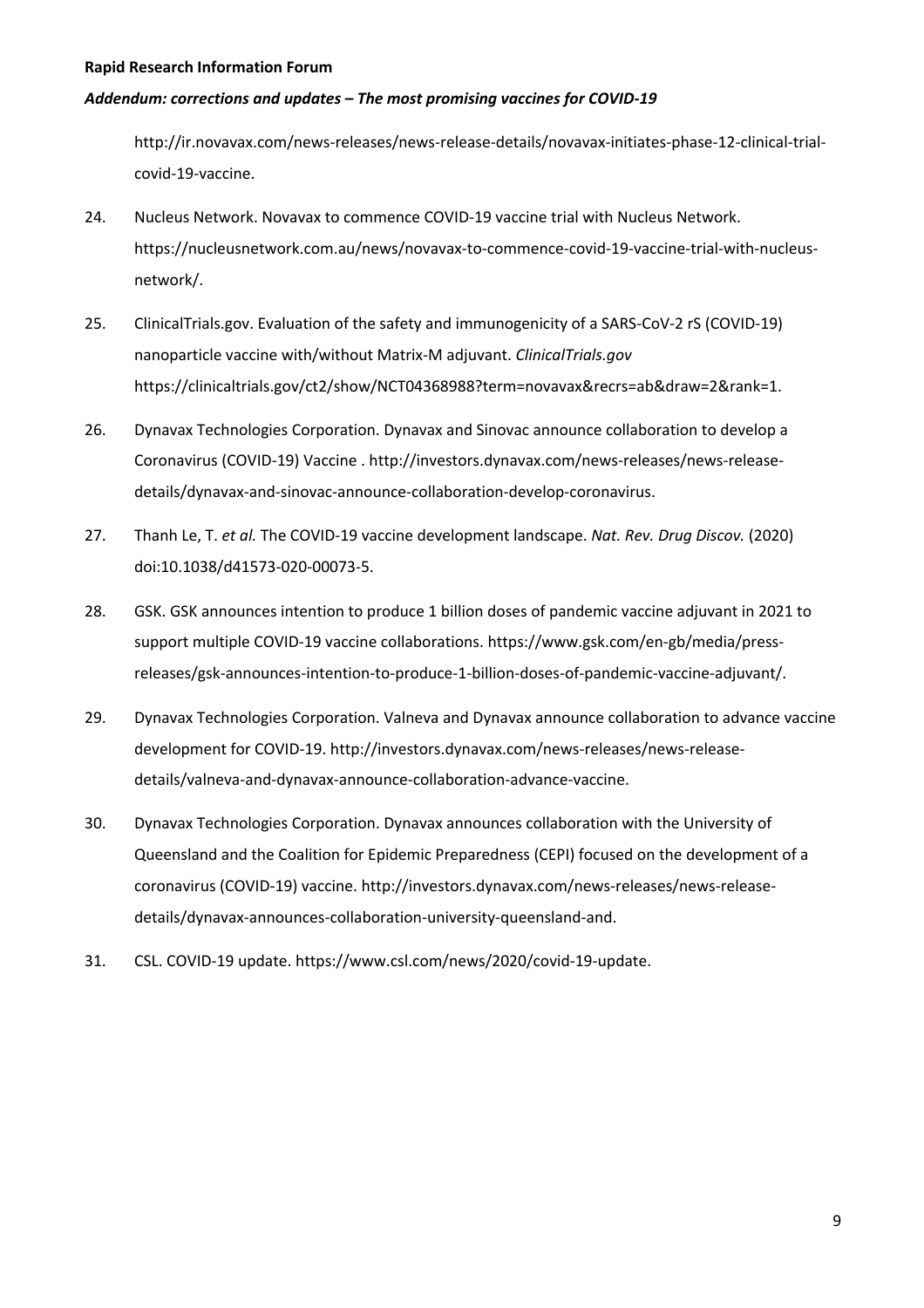#### *Addendum: corrections and updates – The most promising vaccines for COVID-19*

http://ir.novavax.com/news-releases/news-release-details/novavax-initiates-phase-12-clinical-trialcovid-19-vaccine.

- 24. Nucleus Network. Novavax to commence COVID-19 vaccine trial with Nucleus Network. https://nucleusnetwork.com.au/news/novavax-to-commence-covid-19-vaccine-trial-with-nucleusnetwork/.
- 25. ClinicalTrials.gov. Evaluation of the safety and immunogenicity of a SARS-CoV-2 rS (COVID-19) nanoparticle vaccine with/without Matrix-M adjuvant. *ClinicalTrials.gov* https://clinicaltrials.gov/ct2/show/NCT04368988?term=novavax&recrs=ab&draw=2&rank=1.
- 26. Dynavax Technologies Corporation. Dynavax and Sinovac announce collaboration to develop a Coronavirus (COVID-19) Vaccine . http://investors.dynavax.com/news-releases/news-releasedetails/dynavax-and-sinovac-announce-collaboration-develop-coronavirus.
- 27. Thanh Le, T. *et al.* The COVID-19 vaccine development landscape. *Nat. Rev. Drug Discov.* (2020) doi:10.1038/d41573-020-00073-5.
- 28. GSK. GSK announces intention to produce 1 billion doses of pandemic vaccine adjuvant in 2021 to support multiple COVID-19 vaccine collaborations. https://www.gsk.com/en-gb/media/pressreleases/gsk-announces-intention-to-produce-1-billion-doses-of-pandemic-vaccine-adjuvant/.
- 29. Dynavax Technologies Corporation. Valneva and Dynavax announce collaboration to advance vaccine development for COVID-19. http://investors.dynavax.com/news-releases/news-releasedetails/valneva-and-dynavax-announce-collaboration-advance-vaccine.
- 30. Dynavax Technologies Corporation. Dynavax announces collaboration with the University of Queensland and the Coalition for Epidemic Preparedness (CEPI) focused on the development of a coronavirus (COVID-19) vaccine. http://investors.dynavax.com/news-releases/news-releasedetails/dynavax-announces-collaboration-university-queensland-and.
- 31. CSL. COVID-19 update. https://www.csl.com/news/2020/covid-19-update.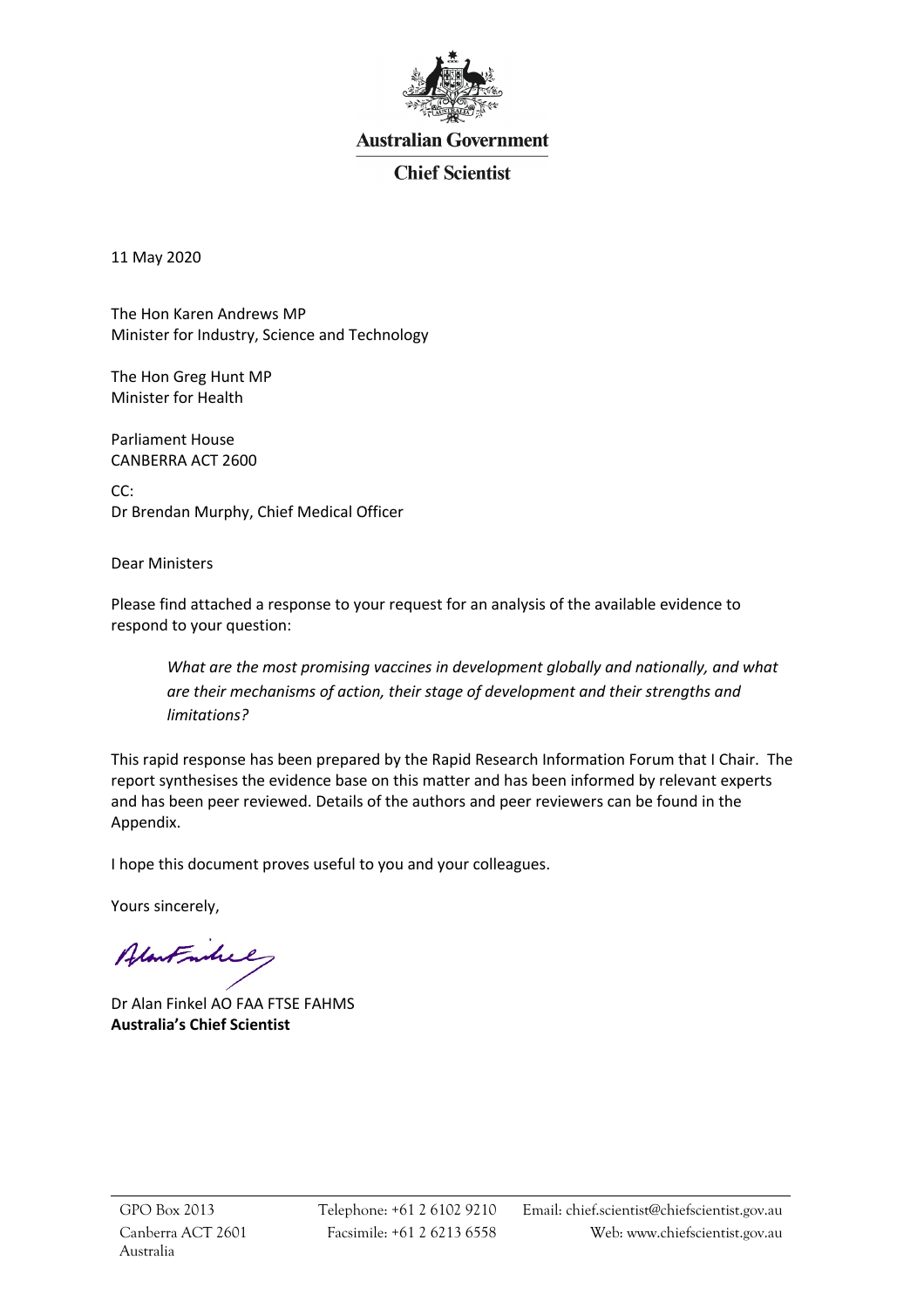

# **Australian Government**

# **Chief Scientist**

11 May 2020

The Hon Karen Andrews MP Minister for Industry, Science and Technology

The Hon Greg Hunt MP Minister for Health

Parliament House CANBERRA ACT 2600

CC: Dr Brendan Murphy, Chief Medical Officer

Dear Ministers

Please find attached a response to your request for an analysis of the available evidence to respond to your question:

*What are the most promising vaccines in development globally and nationally, and what are their mechanisms of action, their stage of development and their strengths and limitations?*

This rapid response has been prepared by the Rapid Research Information Forum that I Chair. The report synthesises the evidence base on this matter and has been informed by relevant experts and has been peer reviewed. Details of the authors and peer reviewers can be found in the Appendix.

I hope this document proves useful to you and your colleagues.

Yours sincerely,

Alantmhil

Dr Alan Finkel AO FAA FTSE FAHMS **Australia's Chief Scientist**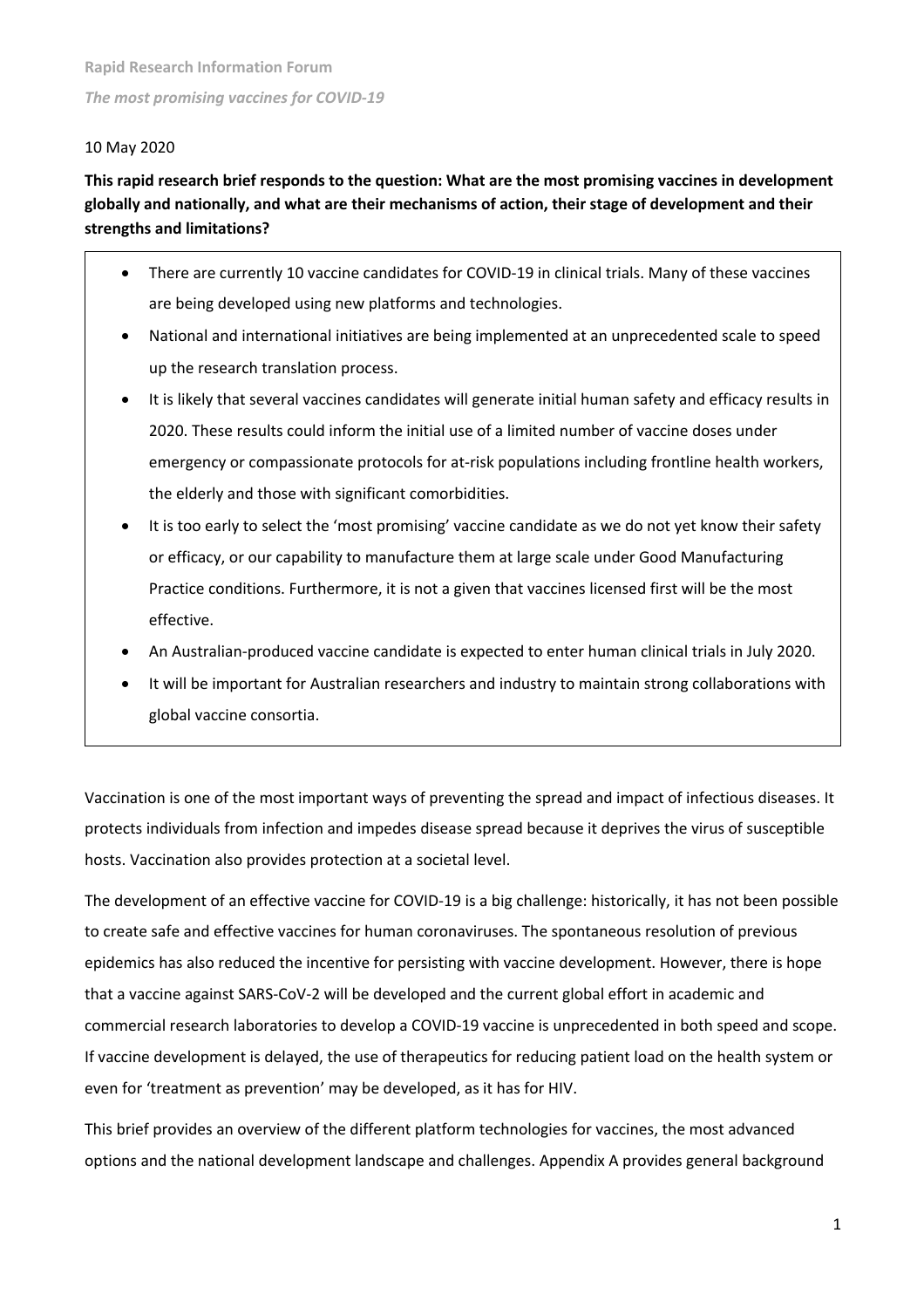#### 10 May 2020

# **This rapid research brief responds to the question: What are the most promising vaccines in development globally and nationally, and what are their mechanisms of action, their stage of development and their strengths and limitations?**

- There are currently 10 vaccine candidates for COVID-19 in clinical trials. Many of these vaccines are being developed using new platforms and technologies.
- National and international initiatives are being implemented at an unprecedented scale to speed up the research translation process.
- It is likely that several vaccines candidates will generate initial human safety and efficacy results in 2020. These results could inform the initial use of a limited number of vaccine doses under emergency or compassionate protocols for at-risk populations including frontline health workers, the elderly and those with significant comorbidities.
- It is too early to select the 'most promising' vaccine candidate as we do not yet know their safety or efficacy, or our capability to manufacture them at large scale under Good Manufacturing Practice conditions. Furthermore, it is not a given that vaccines licensed first will be the most effective.
- An Australian-produced vaccine candidate is expected to enter human clinical trials in July 2020.
- It will be important for Australian researchers and industry to maintain strong collaborations with global vaccine consortia.

Vaccination is one of the most important ways of preventing the spread and impact of infectious diseases. It protects individuals from infection and impedes disease spread because it deprives the virus of susceptible hosts. Vaccination also provides protection at a societal level.

The development of an effective vaccine for COVID-19 is a big challenge: historically, it has not been possible to create safe and effective vaccines for human coronaviruses. The spontaneous resolution of previous epidemics has also reduced the incentive for persisting with vaccine development. However, there is hope that a vaccine against SARS-CoV-2 will be developed and the current global effort in academic and commercial research laboratories to develop a COVID-19 vaccine is unprecedented in both speed and scope. If vaccine development is delayed, the use of therapeutics for reducing patient load on the health system or even for 'treatment as prevention' may be developed, as it has for HIV.

This brief provides an overview of the different platform technologies for vaccines, the most advanced options and the national development landscape and challenges. Appendix A provides general background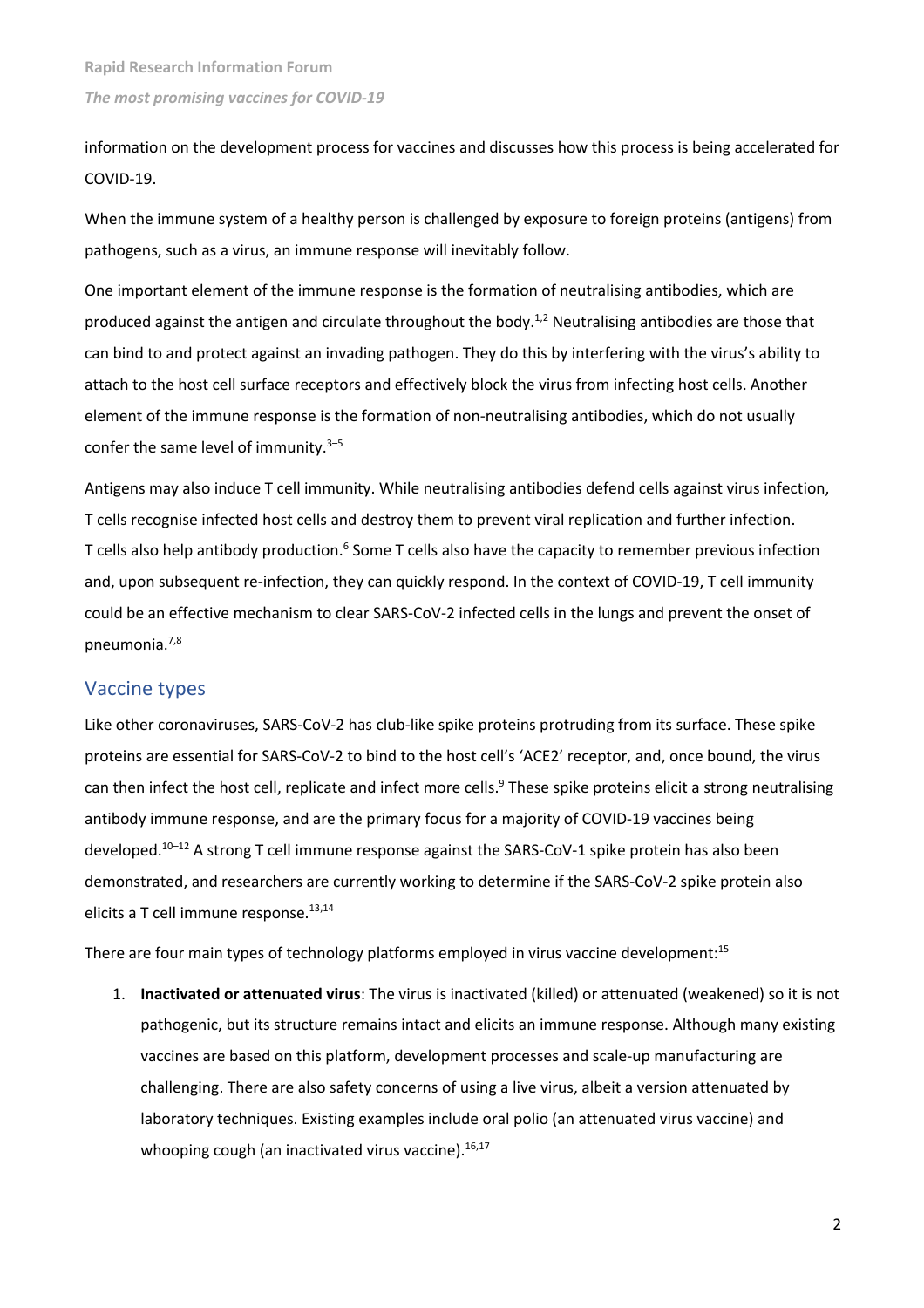information on the development process for vaccines and discusses how this process is being accelerated for COVID-19.

When the immune system of a healthy person is challenged by exposure to foreign proteins (antigens) from pathogens, such as a virus, an immune response will inevitably follow.

One important element of the immune response is the formation of neutralising antibodies, which are produced against the antigen and circulate throughout the body.<sup>1,2</sup> Neutralising antibodies are those that can bind to and protect against an invading pathogen. They do this by interfering with the virus's ability to attach to the host cell surface receptors and effectively block the virus from infecting host cells. Another element of the immune response is the formation of non-neutralising antibodies, which do not usually confer the same level of immunity.<sup>3-5</sup>

Antigens may also induce T cell immunity. While neutralising antibodies defend cells against virus infection, T cells recognise infected host cells and destroy them to prevent viral replication and further infection. T cells also help antibody production.<sup>6</sup> Some T cells also have the capacity to remember previous infection and, upon subsequent re-infection, they can quickly respond. In the context of COVID-19, T cell immunity could be an effective mechanism to clear SARS-CoV-2 infected cells in the lungs and prevent the onset of pneumonia.7,8

# Vaccine types

Like other coronaviruses, SARS-CoV-2 has club-like spike proteins protruding from its surface. These spike proteins are essential for SARS-CoV-2 to bind to the host cell's 'ACE2' receptor, and, once bound, the virus can then infect the host cell, replicate and infect more cells.<sup>9</sup> These spike proteins elicit a strong neutralising antibody immune response, and are the primary focus for a majority of COVID-19 vaccines being developed.10–12 A strong T cell immune response against the SARS-CoV-1 spike protein has also been demonstrated, and researchers are currently working to determine if the SARS-CoV-2 spike protein also elicits a T cell immune response.<sup>13,14</sup>

There are four main types of technology platforms employed in virus vaccine development:<sup>15</sup>

1. **Inactivated or attenuated virus**: The virus is inactivated (killed) or attenuated (weakened) so it is not pathogenic, but its structure remains intact and elicits an immune response. Although many existing vaccines are based on this platform, development processes and scale-up manufacturing are challenging. There are also safety concerns of using a live virus, albeit a version attenuated by laboratory techniques. Existing examples include oral polio (an attenuated virus vaccine) and whooping cough (an inactivated virus vaccine).<sup>16,17</sup>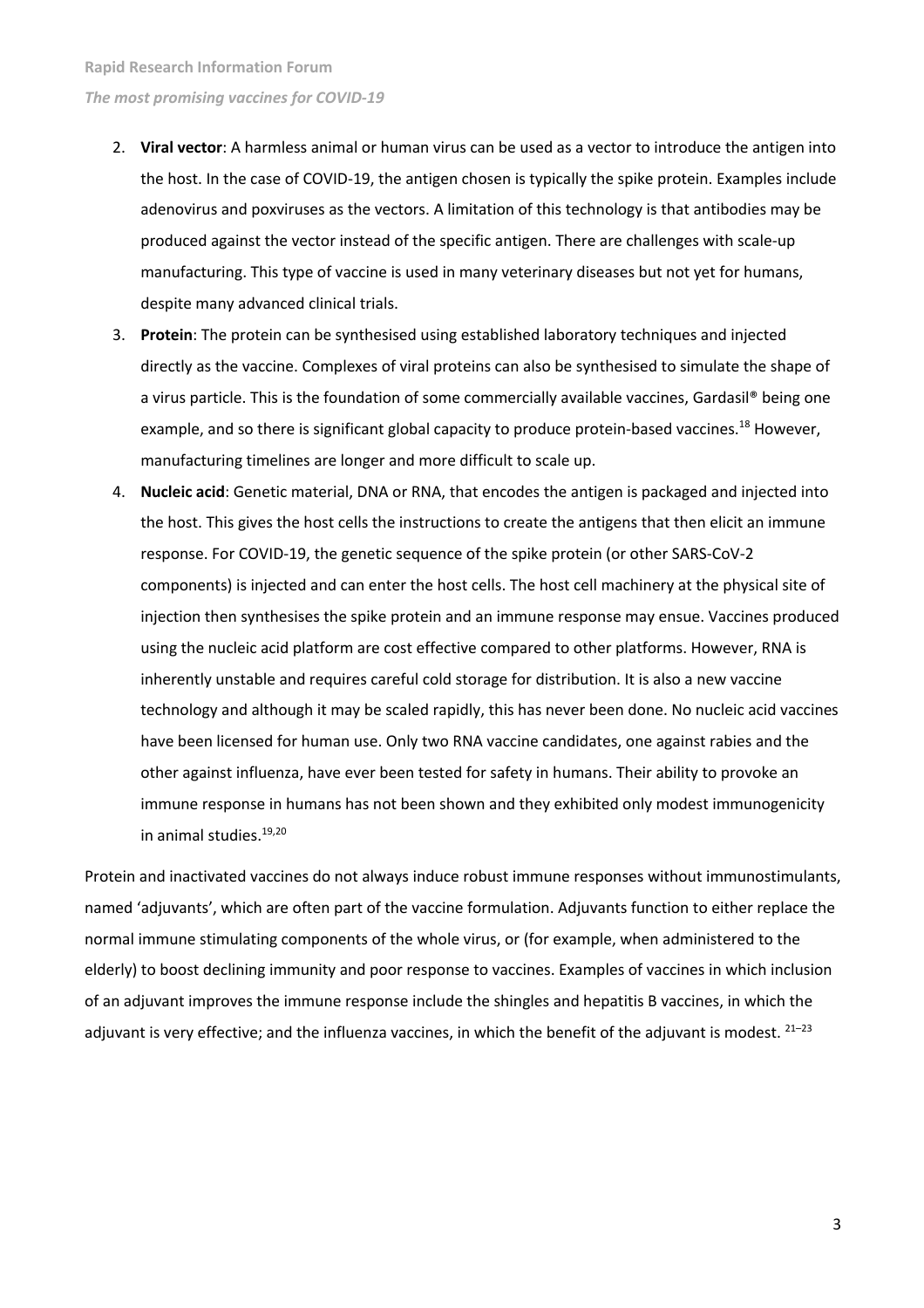- 2. **Viral vector**: A harmless animal or human virus can be used as a vector to introduce the antigen into the host. In the case of COVID-19, the antigen chosen is typically the spike protein. Examples include adenovirus and poxviruses as the vectors. A limitation of this technology is that antibodies may be produced against the vector instead of the specific antigen. There are challenges with scale-up manufacturing. This type of vaccine is used in many veterinary diseases but not yet for humans, despite many advanced clinical trials.
- 3. **Protein**: The protein can be synthesised using established laboratory techniques and injected directly as the vaccine. Complexes of viral proteins can also be synthesised to simulate the shape of a virus particle. This is the foundation of some commercially available vaccines, Gardasil® being one example, and so there is significant global capacity to produce protein-based vaccines.<sup>18</sup> However, manufacturing timelines are longer and more difficult to scale up.
- 4. **Nucleic acid**: Genetic material, DNA or RNA, that encodes the antigen is packaged and injected into the host. This gives the host cells the instructions to create the antigens that then elicit an immune response. For COVID-19, the genetic sequence of the spike protein (or other SARS-CoV-2 components) is injected and can enter the host cells. The host cell machinery at the physical site of injection then synthesises the spike protein and an immune response may ensue. Vaccines produced using the nucleic acid platform are cost effective compared to other platforms. However, RNA is inherently unstable and requires careful cold storage for distribution. It is also a new vaccine technology and although it may be scaled rapidly, this has never been done. No nucleic acid vaccines have been licensed for human use. Only two RNA vaccine candidates, one against rabies and the other against influenza, have ever been tested for safety in humans. Their ability to provoke an immune response in humans has not been shown and they exhibited only modest immunogenicity in animal studies.19,20

Protein and inactivated vaccines do not always induce robust immune responses without immunostimulants, named 'adjuvants', which are often part of the vaccine formulation. Adjuvants function to either replace the normal immune stimulating components of the whole virus, or (for example, when administered to the elderly) to boost declining immunity and poor response to vaccines. Examples of vaccines in which inclusion of an adjuvant improves the immune response include the shingles and hepatitis B vaccines, in which the adjuvant is very effective; and the influenza vaccines, in which the benefit of the adjuvant is modest.  $21-23$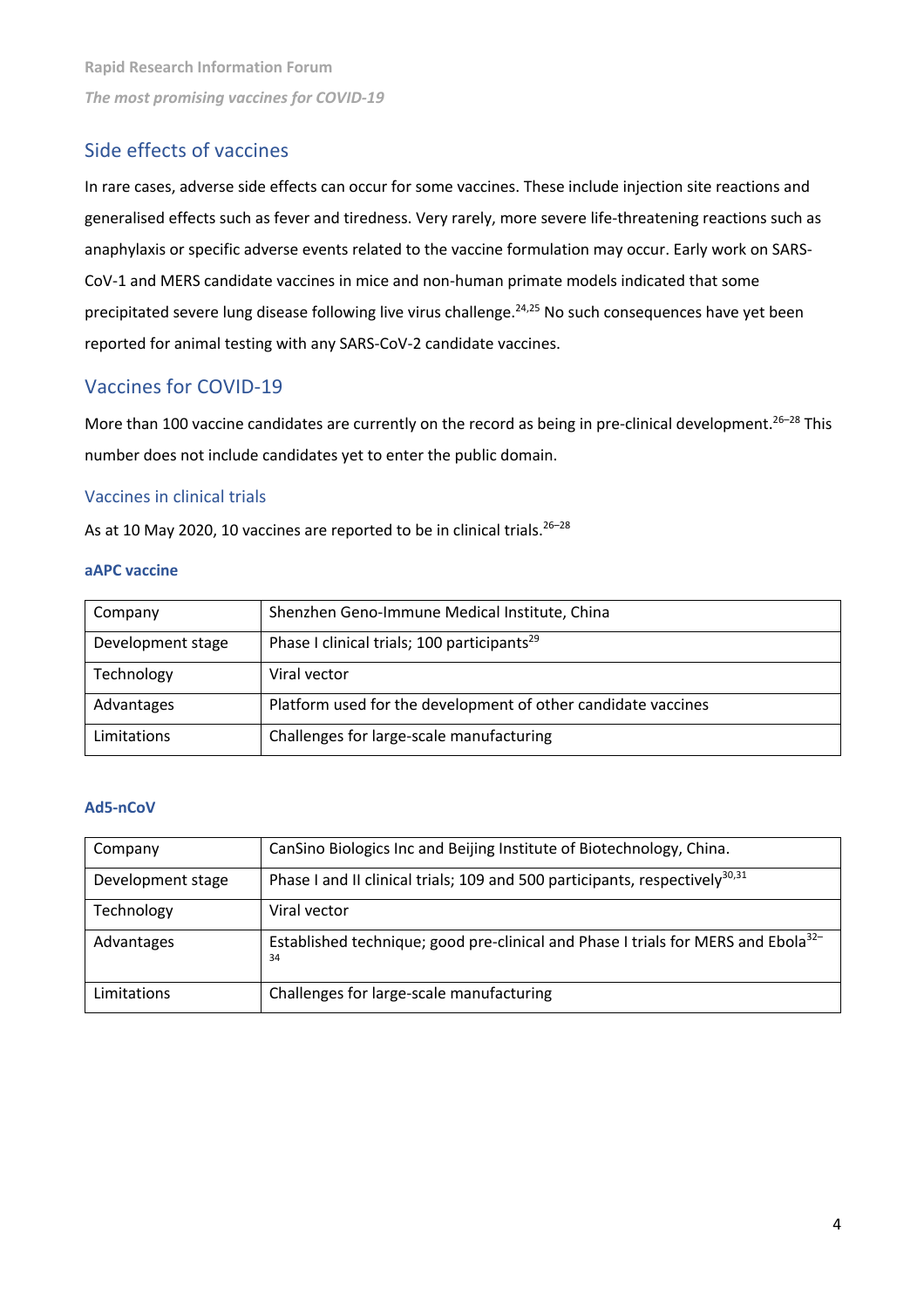# Side effects of vaccines

In rare cases, adverse side effects can occur for some vaccines. These include injection site reactions and generalised effects such as fever and tiredness. Very rarely, more severe life-threatening reactions such as anaphylaxis or specific adverse events related to the vaccine formulation may occur. Early work on SARS-CoV-1 and MERS candidate vaccines in mice and non-human primate models indicated that some precipitated severe lung disease following live virus challenge. 24,25 No such consequences have yet been reported for animal testing with any SARS-CoV-2 candidate vaccines.

# Vaccines for COVID-19

More than 100 vaccine candidates are currently on the record as being in pre-clinical development.<sup>26-28</sup> This number does not include candidates yet to enter the public domain.

#### Vaccines in clinical trials

As at 10 May 2020, 10 vaccines are reported to be in clinical trials. $26-28$ 

#### **aAPC vaccine**

| Company           | Shenzhen Geno-Immune Medical Institute, China                 |
|-------------------|---------------------------------------------------------------|
| Development stage | Phase I clinical trials; 100 participants <sup>29</sup>       |
| Technology        | Viral vector                                                  |
| Advantages        | Platform used for the development of other candidate vaccines |
| Limitations       | Challenges for large-scale manufacturing                      |

#### **Ad5-nCoV**

| Company           | CanSino Biologics Inc and Beijing Institute of Biotechnology, China.                                |
|-------------------|-----------------------------------------------------------------------------------------------------|
| Development stage | Phase I and II clinical trials; 109 and 500 participants, respectively <sup>30,31</sup>             |
| Technology        | Viral vector                                                                                        |
| Advantages        | Established technique; good pre-clinical and Phase I trials for MERS and Ebola <sup>32-</sup><br>34 |
| Limitations       | Challenges for large-scale manufacturing                                                            |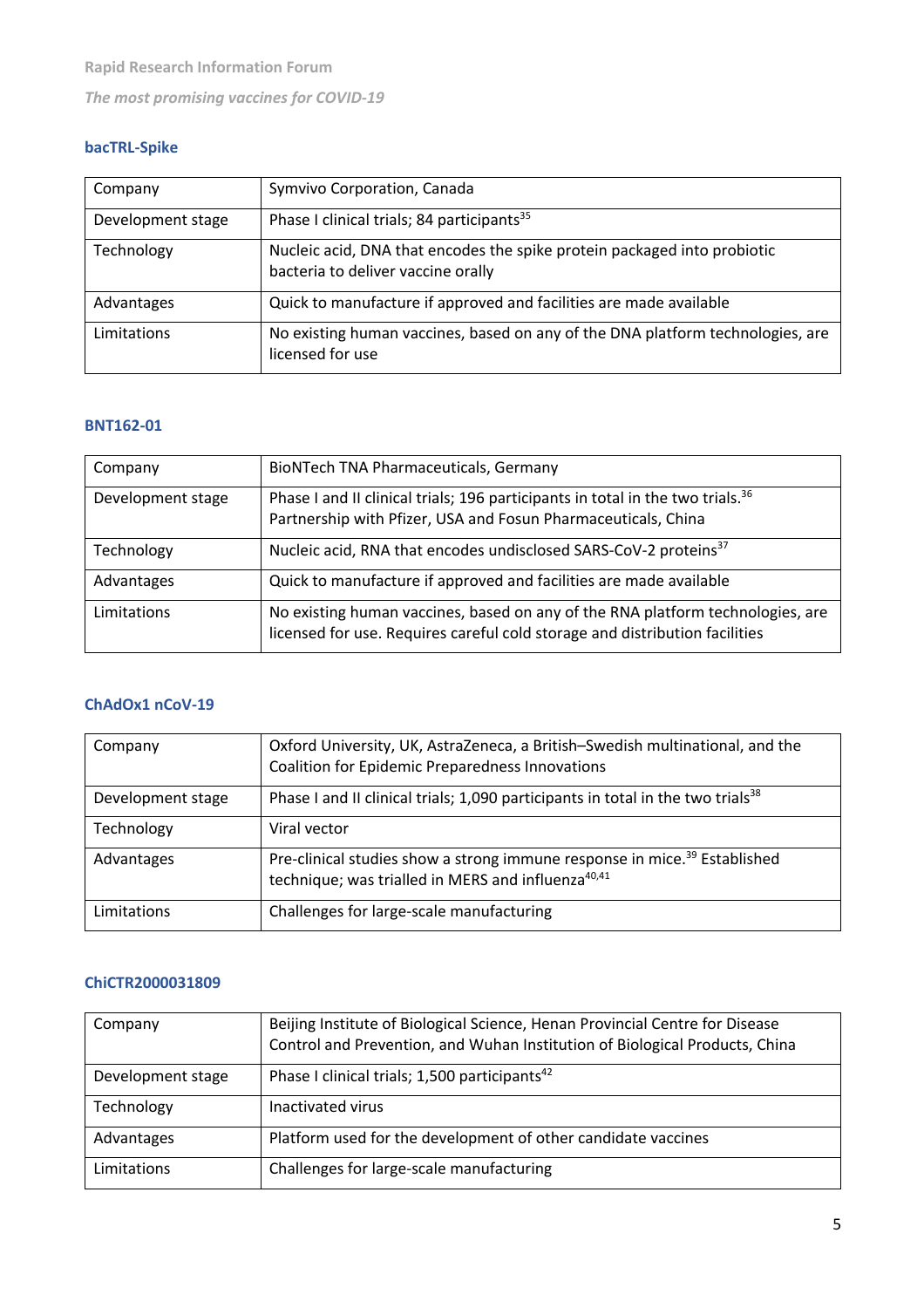# **bacTRL-Spike**

| Company           | Symvivo Corporation, Canada                                                                                    |
|-------------------|----------------------------------------------------------------------------------------------------------------|
| Development stage | Phase I clinical trials; 84 participants <sup>35</sup>                                                         |
| Technology        | Nucleic acid, DNA that encodes the spike protein packaged into probiotic<br>bacteria to deliver vaccine orally |
| Advantages        | Quick to manufacture if approved and facilities are made available                                             |
| Limitations       | No existing human vaccines, based on any of the DNA platform technologies, are<br>licensed for use             |

### **BNT162-01**

| Company           | <b>BioNTech TNA Pharmaceuticals, Germany</b>                                                                                                                  |
|-------------------|---------------------------------------------------------------------------------------------------------------------------------------------------------------|
| Development stage | Phase I and II clinical trials; 196 participants in total in the two trials. <sup>36</sup><br>Partnership with Pfizer, USA and Fosun Pharmaceuticals, China   |
| Technology        | Nucleic acid, RNA that encodes undisclosed SARS-CoV-2 proteins <sup>37</sup>                                                                                  |
| Advantages        | Quick to manufacture if approved and facilities are made available                                                                                            |
| Limitations       | No existing human vaccines, based on any of the RNA platform technologies, are<br>licensed for use. Requires careful cold storage and distribution facilities |

#### **ChAdOx1 nCoV-19**

| Company           | Oxford University, UK, AstraZeneca, a British-Swedish multinational, and the<br><b>Coalition for Epidemic Preparedness Innovations</b>                  |
|-------------------|---------------------------------------------------------------------------------------------------------------------------------------------------------|
| Development stage | Phase I and II clinical trials; 1,090 participants in total in the two trials <sup>38</sup>                                                             |
| Technology        | Viral vector                                                                                                                                            |
| Advantages        | Pre-clinical studies show a strong immune response in mice. <sup>39</sup> Established<br>technique; was trialled in MERS and influenza <sup>40,41</sup> |
| Limitations       | Challenges for large-scale manufacturing                                                                                                                |

# **ChiCTR2000031809**

| Company           | Beijing Institute of Biological Science, Henan Provincial Centre for Disease<br>Control and Prevention, and Wuhan Institution of Biological Products, China |
|-------------------|-------------------------------------------------------------------------------------------------------------------------------------------------------------|
| Development stage | Phase I clinical trials; 1,500 participants <sup>42</sup>                                                                                                   |
| Technology        | Inactivated virus                                                                                                                                           |
| Advantages        | Platform used for the development of other candidate vaccines                                                                                               |
| Limitations       | Challenges for large-scale manufacturing                                                                                                                    |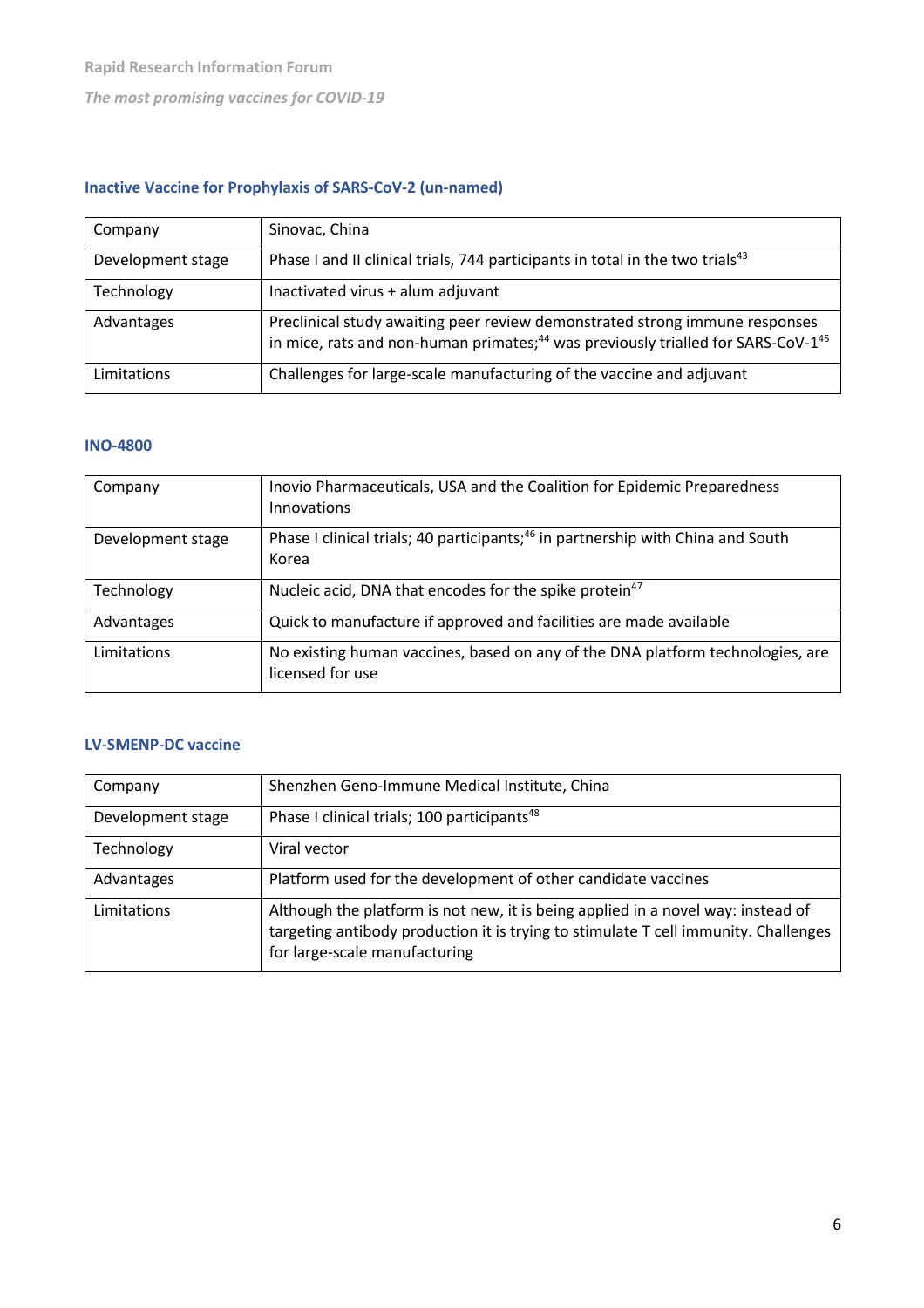# **Inactive Vaccine for Prophylaxis of SARS-CoV-2 (un-named)**

| Company           | Sinovac, China                                                                                                                                                                          |
|-------------------|-----------------------------------------------------------------------------------------------------------------------------------------------------------------------------------------|
| Development stage | Phase I and II clinical trials, 744 participants in total in the two trials <sup>43</sup>                                                                                               |
| Technology        | Inactivated virus + alum adjuvant                                                                                                                                                       |
| Advantages        | Preclinical study awaiting peer review demonstrated strong immune responses<br>in mice, rats and non-human primates; <sup>44</sup> was previously trialled for SARS-CoV-1 <sup>45</sup> |
| Limitations       | Challenges for large-scale manufacturing of the vaccine and adjuvant                                                                                                                    |

# **INO-4800**

| Company           | Inovio Pharmaceuticals, USA and the Coalition for Epidemic Preparedness<br>Innovations               |
|-------------------|------------------------------------------------------------------------------------------------------|
| Development stage | Phase I clinical trials; 40 participants; <sup>46</sup> in partnership with China and South<br>Korea |
| Technology        | Nucleic acid, DNA that encodes for the spike protein <sup>47</sup>                                   |
| Advantages        | Quick to manufacture if approved and facilities are made available                                   |
| Limitations       | No existing human vaccines, based on any of the DNA platform technologies, are<br>licensed for use   |

# **LV-SMENP-DC vaccine**

| Company           | Shenzhen Geno-Immune Medical Institute, China                                                                                                                                                            |
|-------------------|----------------------------------------------------------------------------------------------------------------------------------------------------------------------------------------------------------|
| Development stage | Phase I clinical trials; 100 participants <sup>48</sup>                                                                                                                                                  |
| Technology        | Viral vector                                                                                                                                                                                             |
| Advantages        | Platform used for the development of other candidate vaccines                                                                                                                                            |
| Limitations       | Although the platform is not new, it is being applied in a novel way: instead of<br>targeting antibody production it is trying to stimulate T cell immunity. Challenges<br>for large-scale manufacturing |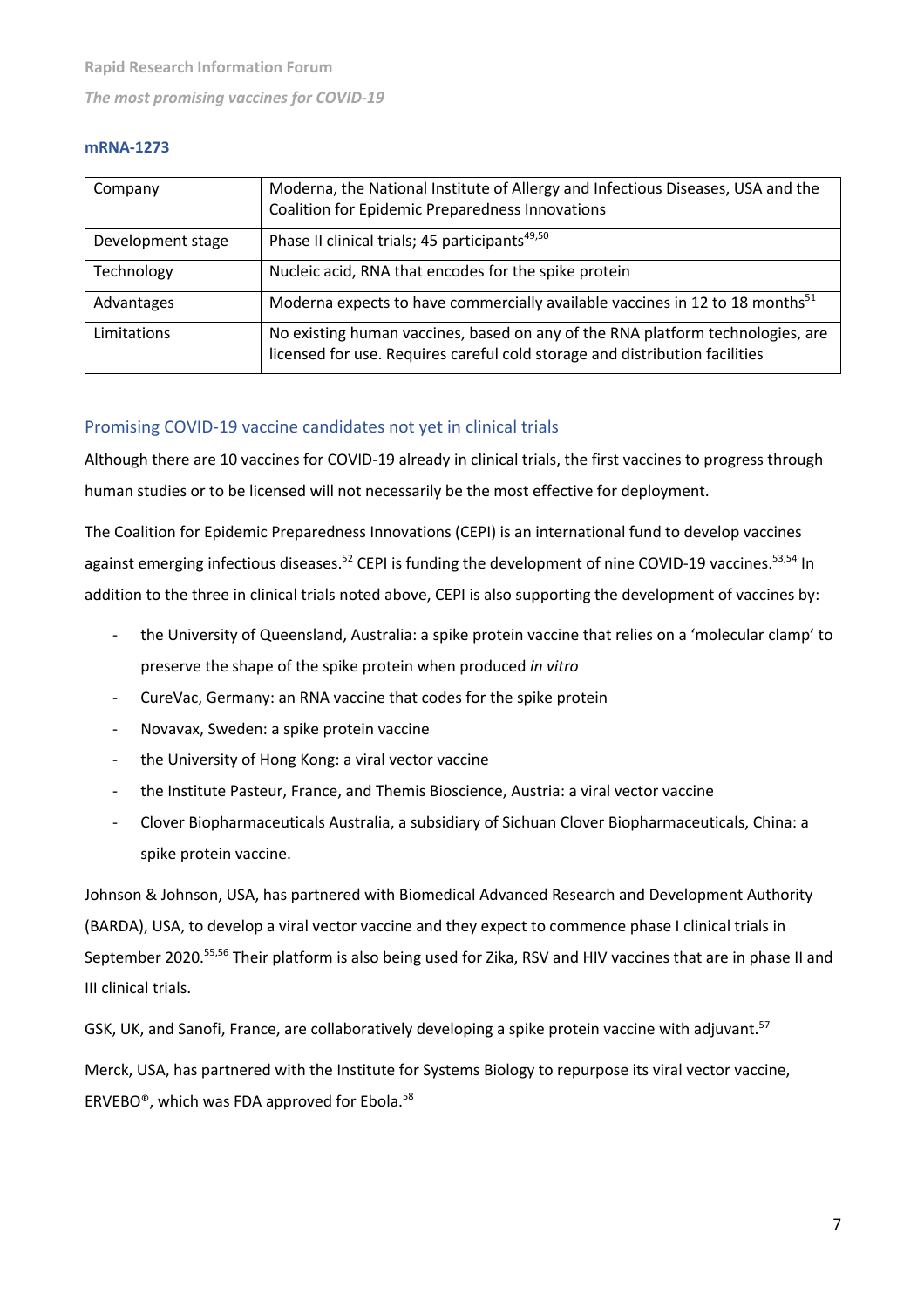#### **mRNA-1273**

| Company           | Moderna, the National Institute of Allergy and Infectious Diseases, USA and the<br><b>Coalition for Epidemic Preparedness Innovations</b>                     |
|-------------------|---------------------------------------------------------------------------------------------------------------------------------------------------------------|
| Development stage | Phase II clinical trials; 45 participants <sup>49,50</sup>                                                                                                    |
| Technology        | Nucleic acid, RNA that encodes for the spike protein                                                                                                          |
| Advantages        | Moderna expects to have commercially available vaccines in 12 to 18 months <sup>51</sup>                                                                      |
| Limitations       | No existing human vaccines, based on any of the RNA platform technologies, are<br>licensed for use. Requires careful cold storage and distribution facilities |

# Promising COVID-19 vaccine candidates not yet in clinical trials

Although there are 10 vaccines for COVID-19 already in clinical trials, the first vaccines to progress through human studies or to be licensed will not necessarily be the most effective for deployment.

The Coalition for Epidemic Preparedness Innovations (CEPI) is an international fund to develop vaccines against emerging infectious diseases.<sup>52</sup> CEPI is funding the development of nine COVID-19 vaccines.<sup>53,54</sup> In addition to the three in clinical trials noted above, CEPI is also supporting the development of vaccines by:

- the University of Queensland, Australia: a spike protein vaccine that relies on a 'molecular clamp' to preserve the shape of the spike protein when produced *in vitro*
- CureVac, Germany: an RNA vaccine that codes for the spike protein
- Novavax, Sweden: a spike protein vaccine
- the University of Hong Kong: a viral vector vaccine
- the Institute Pasteur, France, and Themis Bioscience, Austria: a viral vector vaccine
- Clover Biopharmaceuticals Australia, a subsidiary of Sichuan Clover Biopharmaceuticals, China: a spike protein vaccine.

Johnson & Johnson, USA, has partnered with Biomedical Advanced Research and Development Authority (BARDA), USA, to develop a viral vector vaccine and they expect to commence phase I clinical trials in September 2020.55,56 Their platform is also being used for Zika, RSV and HIV vaccines that are in phase II and III clinical trials.

GSK, UK, and Sanofi, France, are collaboratively developing a spike protein vaccine with adjuvant.<sup>57</sup>

Merck, USA, has partnered with the Institute for Systems Biology to repurpose its viral vector vaccine, ERVEBO®, which was FDA approved for Ebola.58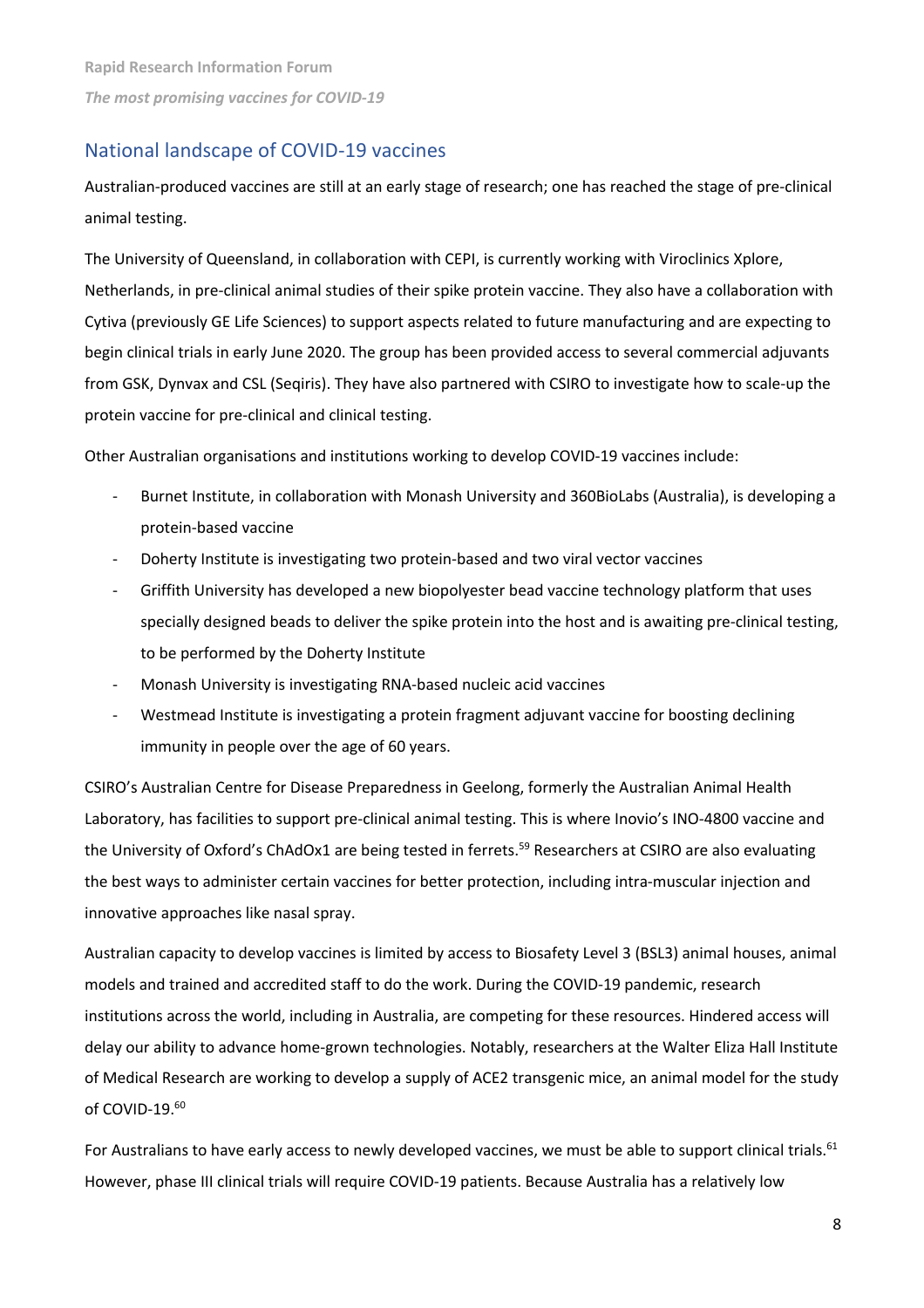# National landscape of COVID-19 vaccines

Australian-produced vaccines are still at an early stage of research; one has reached the stage of pre-clinical animal testing.

The University of Queensland, in collaboration with CEPI, is currently working with Viroclinics Xplore, Netherlands, in pre-clinical animal studies of their spike protein vaccine. They also have a collaboration with Cytiva (previously GE Life Sciences) to support aspects related to future manufacturing and are expecting to begin clinical trials in early June 2020. The group has been provided access to several commercial adjuvants from GSK, Dynvax and CSL (Seqiris). They have also partnered with CSIRO to investigate how to scale-up the protein vaccine for pre-clinical and clinical testing.

Other Australian organisations and institutions working to develop COVID-19 vaccines include:

- Burnet Institute, in collaboration with Monash University and 360BioLabs (Australia), is developing a protein-based vaccine
- Doherty Institute is investigating two protein-based and two viral vector vaccines
- Griffith University has developed a new biopolyester bead vaccine technology platform that uses specially designed beads to deliver the spike protein into the host and is awaiting pre-clinical testing, to be performed by the Doherty Institute
- Monash University is investigating RNA-based nucleic acid vaccines
- Westmead Institute is investigating a protein fragment adjuvant vaccine for boosting declining immunity in people over the age of 60 years.

CSIRO's Australian Centre for Disease Preparedness in Geelong, formerly the Australian Animal Health Laboratory, has facilities to support pre-clinical animal testing. This is where Inovio's INO-4800 vaccine and the University of Oxford's ChAdOx1 are being tested in ferrets.<sup>59</sup> Researchers at CSIRO are also evaluating the best ways to administer certain vaccines for better protection, including intra-muscular injection and innovative approaches like nasal spray.

Australian capacity to develop vaccines is limited by access to Biosafety Level 3 (BSL3) animal houses, animal models and trained and accredited staff to do the work. During the COVID-19 pandemic, research institutions across the world, including in Australia, are competing for these resources. Hindered access will delay our ability to advance home-grown technologies. Notably, researchers at the Walter Eliza Hall Institute of Medical Research are working to develop a supply of ACE2 transgenic mice, an animal model for the study of COVID-19.<sup>60</sup>

For Australians to have early access to newly developed vaccines, we must be able to support clinical trials.<sup>61</sup> However, phase III clinical trials will require COVID-19 patients. Because Australia has a relatively low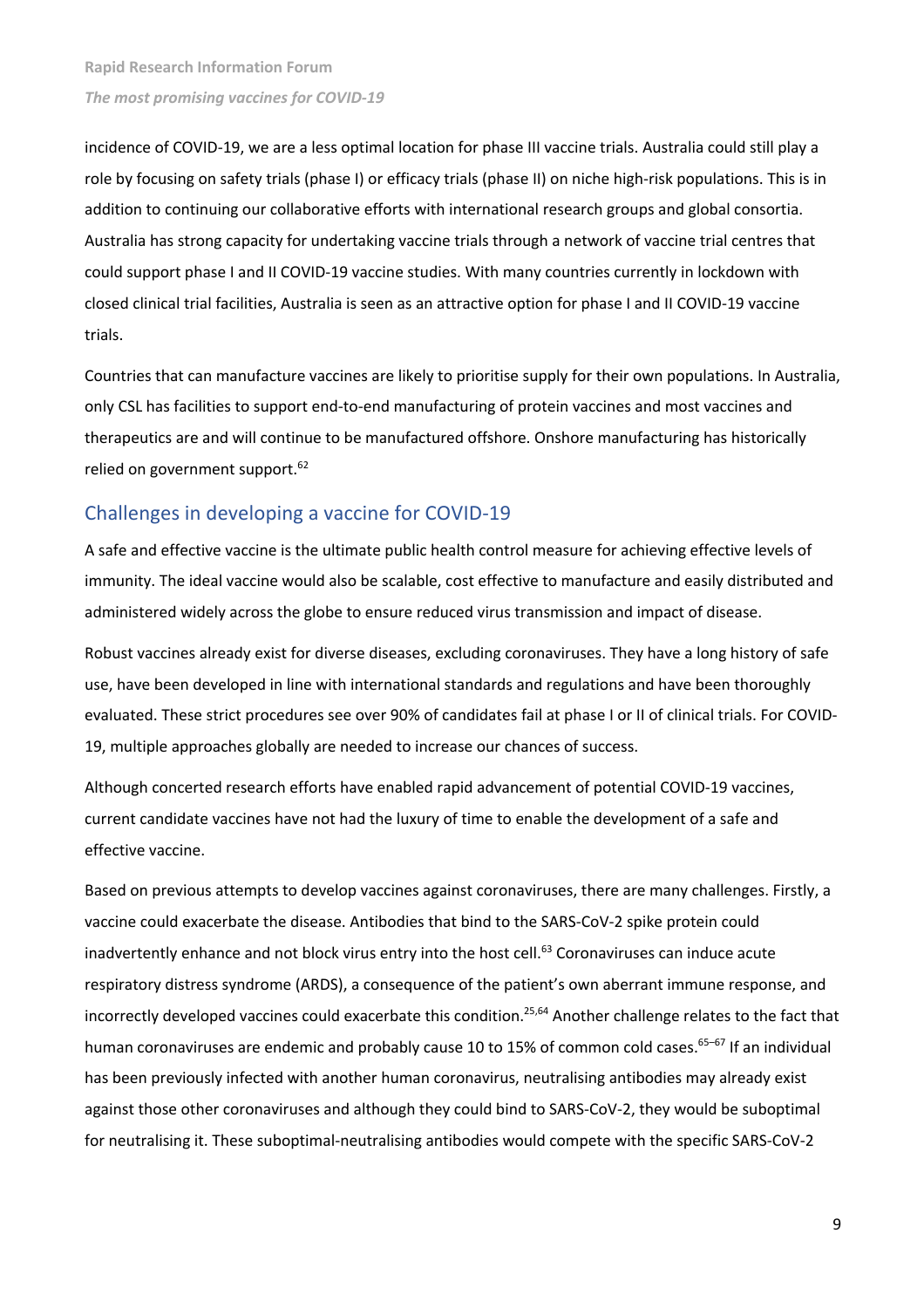incidence of COVID-19, we are a less optimal location for phase III vaccine trials. Australia could still play a role by focusing on safety trials (phase I) or efficacy trials (phase II) on niche high-risk populations. This is in addition to continuing our collaborative efforts with international research groups and global consortia. Australia has strong capacity for undertaking vaccine trials through a network of vaccine trial centres that could support phase I and II COVID-19 vaccine studies. With many countries currently in lockdown with closed clinical trial facilities, Australia is seen as an attractive option for phase I and II COVID-19 vaccine trials.

Countries that can manufacture vaccines are likely to prioritise supply for their own populations. In Australia, only CSL has facilities to support end-to-end manufacturing of protein vaccines and most vaccines and therapeutics are and will continue to be manufactured offshore. Onshore manufacturing has historically relied on government support.<sup>62</sup>

# Challenges in developing a vaccine for COVID-19

A safe and effective vaccine is the ultimate public health control measure for achieving effective levels of immunity. The ideal vaccine would also be scalable, cost effective to manufacture and easily distributed and administered widely across the globe to ensure reduced virus transmission and impact of disease.

Robust vaccines already exist for diverse diseases, excluding coronaviruses. They have a long history of safe use, have been developed in line with international standards and regulations and have been thoroughly evaluated. These strict procedures see over 90% of candidates fail at phase I or II of clinical trials. For COVID-19, multiple approaches globally are needed to increase our chances of success.

Although concerted research efforts have enabled rapid advancement of potential COVID-19 vaccines, current candidate vaccines have not had the luxury of time to enable the development of a safe and effective vaccine.

Based on previous attempts to develop vaccines against coronaviruses, there are many challenges. Firstly, a vaccine could exacerbate the disease. Antibodies that bind to the SARS-CoV-2 spike protein could inadvertently enhance and not block virus entry into the host cell.<sup>63</sup> Coronaviruses can induce acute respiratory distress syndrome (ARDS), a consequence of the patient's own aberrant immune response, and incorrectly developed vaccines could exacerbate this condition.25,64 Another challenge relates to the fact that human coronaviruses are endemic and probably cause 10 to 15% of common cold cases.<sup>65-67</sup> If an individual has been previously infected with another human coronavirus, neutralising antibodies may already exist against those other coronaviruses and although they could bind to SARS-CoV-2, they would be suboptimal for neutralising it. These suboptimal-neutralising antibodies would compete with the specific SARS-CoV-2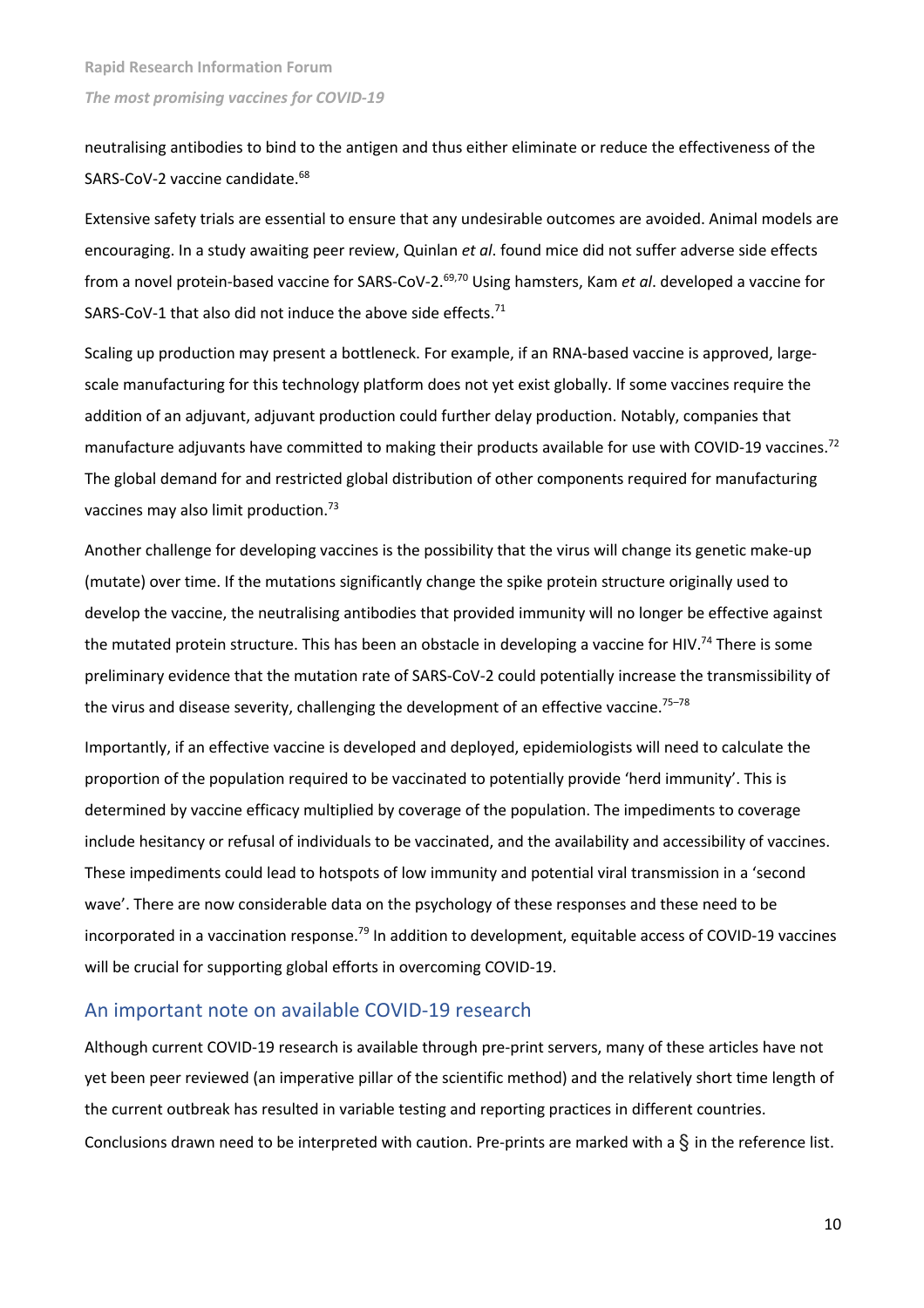neutralising antibodies to bind to the antigen and thus either eliminate or reduce the effectiveness of the SARS-CoV-2 vaccine candidate.<sup>68</sup>

Extensive safety trials are essential to ensure that any undesirable outcomes are avoided. Animal models are encouraging. In a study awaiting peer review, Quinlan *et al*. found mice did not suffer adverse side effects from a novel protein-based vaccine for SARS-CoV-2. 69,70 Using hamsters, Kam *et al*. developed a vaccine for SARS-CoV-1 that also did not induce the above side effects.<sup>71</sup>

Scaling up production may present a bottleneck. For example, if an RNA-based vaccine is approved, largescale manufacturing for this technology platform does not yet exist globally. If some vaccines require the addition of an adjuvant, adjuvant production could further delay production. Notably, companies that manufacture adjuvants have committed to making their products available for use with COVID-19 vaccines.<sup>72</sup> The global demand for and restricted global distribution of other components required for manufacturing vaccines may also limit production.<sup>73</sup>

Another challenge for developing vaccines is the possibility that the virus will change its genetic make-up (mutate) over time. If the mutations significantly change the spike protein structure originally used to develop the vaccine, the neutralising antibodies that provided immunity will no longer be effective against the mutated protein structure. This has been an obstacle in developing a vaccine for HIV.<sup>74</sup> There is some preliminary evidence that the mutation rate of SARS-CoV-2 could potentially increase the transmissibility of the virus and disease severity, challenging the development of an effective vaccine.<sup>75-78</sup>

Importantly, if an effective vaccine is developed and deployed, epidemiologists will need to calculate the proportion of the population required to be vaccinated to potentially provide 'herd immunity'. This is determined by vaccine efficacy multiplied by coverage of the population. The impediments to coverage include hesitancy or refusal of individuals to be vaccinated, and the availability and accessibility of vaccines. These impediments could lead to hotspots of low immunity and potential viral transmission in a 'second wave'. There are now considerable data on the psychology of these responses and these need to be incorporated in a vaccination response.<sup>79</sup> In addition to development, equitable access of COVID-19 vaccines will be crucial for supporting global efforts in overcoming COVID-19.

## An important note on available COVID-19 research

Although current COVID-19 research is available through pre-print servers, many of these articles have not yet been peer reviewed (an imperative pillar of the scientific method) and the relatively short time length of the current outbreak has resulted in variable testing and reporting practices in different countries. Conclusions drawn need to be interpreted with caution. Pre-prints are marked with a  $\hat{S}$  in the reference list.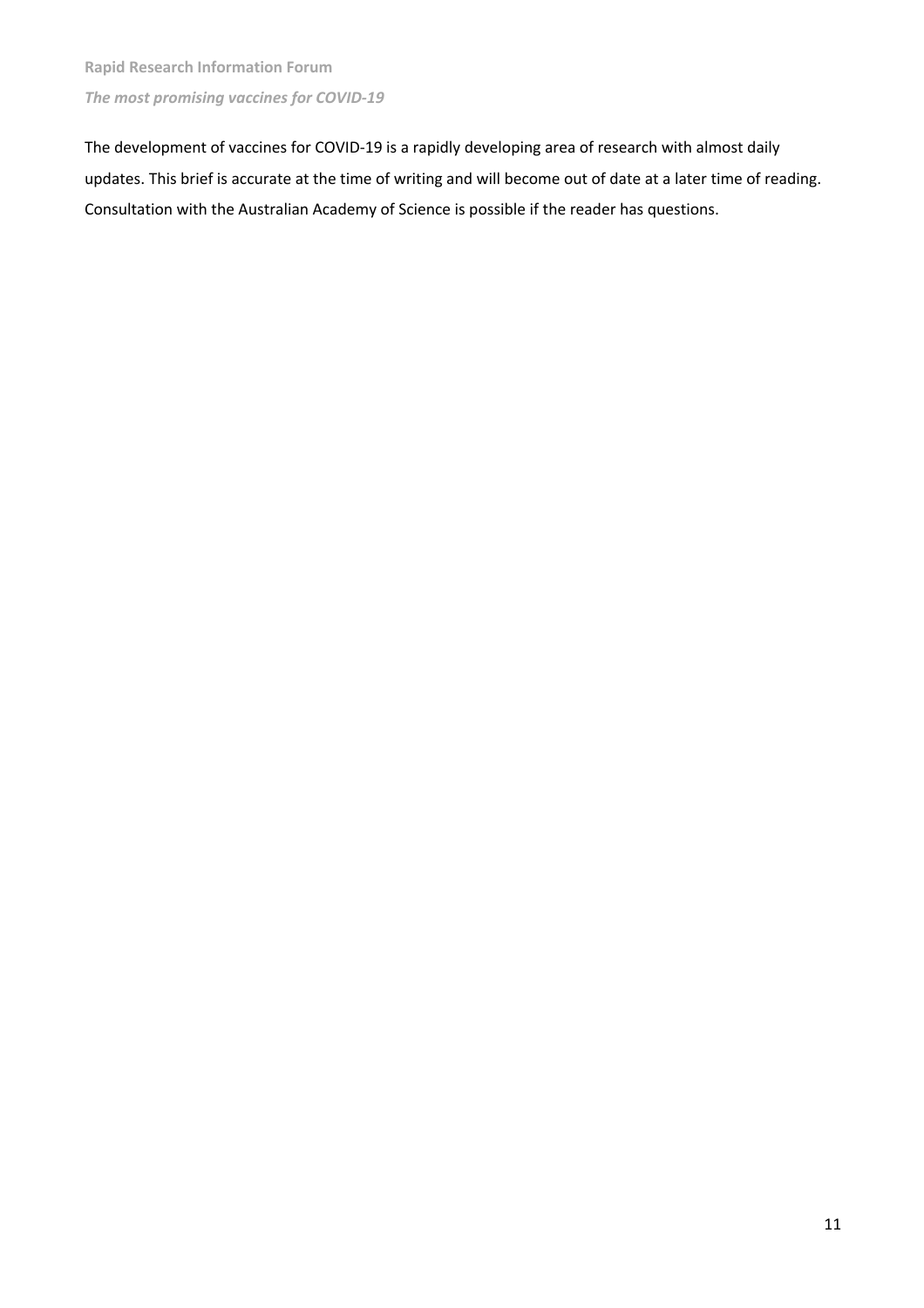The development of vaccines for COVID-19 is a rapidly developing area of research with almost daily updates. This brief is accurate at the time of writing and will become out of date at a later time of reading. Consultation with the Australian Academy of Science is possible if the reader has questions.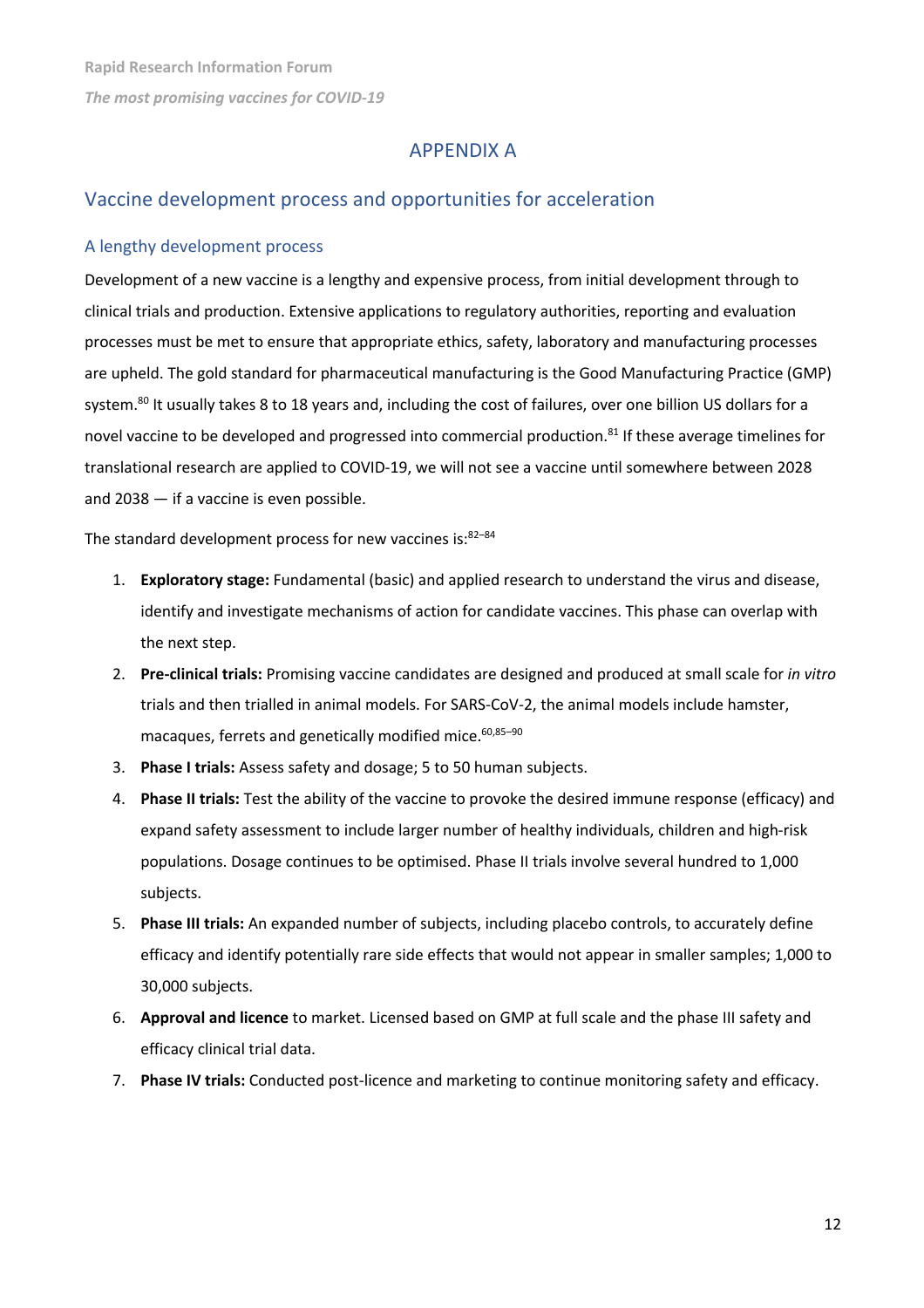# APPENDIX A

# Vaccine development process and opportunities for acceleration

#### A lengthy development process

Development of a new vaccine is a lengthy and expensive process, from initial development through to clinical trials and production. Extensive applications to regulatory authorities, reporting and evaluation processes must be met to ensure that appropriate ethics, safety, laboratory and manufacturing processes are upheld. The gold standard for pharmaceutical manufacturing is the Good Manufacturing Practice (GMP) system.<sup>80</sup> It usually takes 8 to 18 years and, including the cost of failures, over one billion US dollars for a novel vaccine to be developed and progressed into commercial production.<sup>81</sup> If these average timelines for translational research are applied to COVID-19, we will not see a vaccine until somewhere between 2028 and 2038 — if a vaccine is even possible.

The standard development process for new vaccines is: $82-84$ 

- 1. **Exploratory stage:** Fundamental (basic) and applied research to understand the virus and disease, identify and investigate mechanisms of action for candidate vaccines. This phase can overlap with the next step.
- 2. **Pre-clinical trials:** Promising vaccine candidates are designed and produced at small scale for *in vitro* trials and then trialled in animal models. For SARS-CoV-2, the animal models include hamster, macaques, ferrets and genetically modified mice.<sup>60,85-90</sup>
- 3. **Phase I trials:** Assess safety and dosage; 5 to 50 human subjects.
- 4. **Phase II trials:** Test the ability of the vaccine to provoke the desired immune response (efficacy) and expand safety assessment to include larger number of healthy individuals, children and high-risk populations. Dosage continues to be optimised. Phase II trials involve several hundred to 1,000 subjects.
- 5. **Phase III trials:** An expanded number of subjects, including placebo controls, to accurately define efficacy and identify potentially rare side effects that would not appear in smaller samples; 1,000 to 30,000 subjects.
- 6. **Approval and licence** to market. Licensed based on GMP at full scale and the phase III safety and efficacy clinical trial data.
- 7. **Phase IV trials:** Conducted post-licence and marketing to continue monitoring safety and efficacy.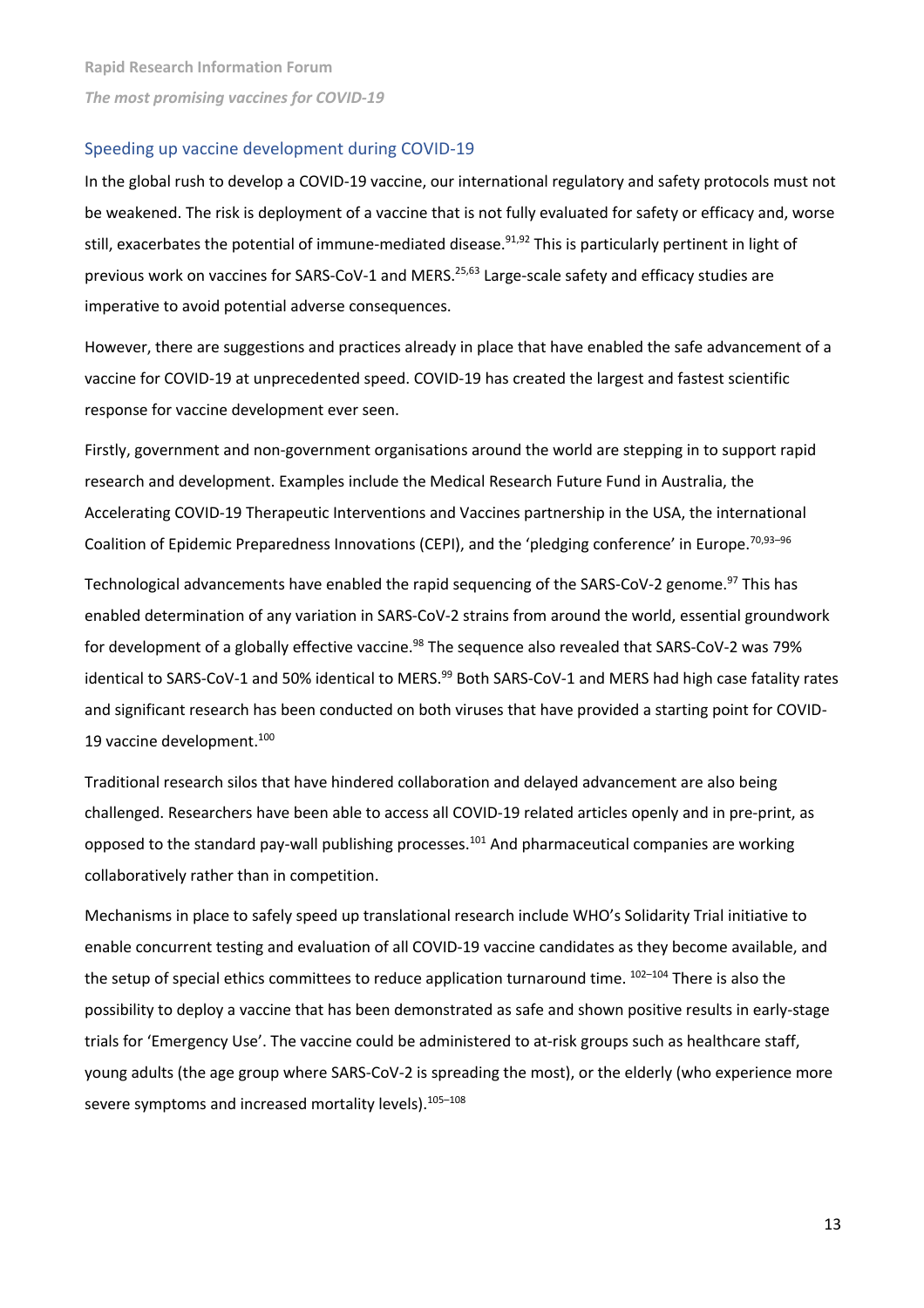#### Speeding up vaccine development during COVID-19

In the global rush to develop a COVID-19 vaccine, our international regulatory and safety protocols must not be weakened. The risk is deployment of a vaccine that is not fully evaluated for safety or efficacy and, worse still, exacerbates the potential of immune-mediated disease.<sup>91,92</sup> This is particularly pertinent in light of previous work on vaccines for SARS-CoV-1 and MERS.<sup>25,63</sup> Large-scale safety and efficacy studies are imperative to avoid potential adverse consequences.

However, there are suggestions and practices already in place that have enabled the safe advancement of a vaccine for COVID-19 at unprecedented speed. COVID-19 has created the largest and fastest scientific response for vaccine development ever seen.

Firstly, government and non-government organisations around the world are stepping in to support rapid research and development. Examples include the Medical Research Future Fund in Australia, the Accelerating COVID-19 Therapeutic Interventions and Vaccines partnership in the USA, the international Coalition of Epidemic Preparedness Innovations (CEPI), and the 'pledging conference' in Europe.<sup>70,93-96</sup>

Technological advancements have enabled the rapid sequencing of the SARS-CoV-2 genome.<sup>97</sup> This has enabled determination of any variation in SARS-CoV-2 strains from around the world, essential groundwork for development of a globally effective vaccine.<sup>98</sup> The sequence also revealed that SARS-CoV-2 was 79% identical to SARS-CoV-1 and 50% identical to MERS.<sup>99</sup> Both SARS-CoV-1 and MERS had high case fatality rates and significant research has been conducted on both viruses that have provided a starting point for COVID-19 vaccine development.<sup>100</sup>

Traditional research silos that have hindered collaboration and delayed advancement are also being challenged. Researchers have been able to access all COVID-19 related articles openly and in pre-print, as opposed to the standard pay-wall publishing processes.<sup>101</sup> And pharmaceutical companies are working collaboratively rather than in competition.

Mechanisms in place to safely speed up translational research include WHO's Solidarity Trial initiative to enable concurrent testing and evaluation of all COVID-19 vaccine candidates as they become available, and the setup of special ethics committees to reduce application turnaround time. <sup>102-104</sup> There is also the possibility to deploy a vaccine that has been demonstrated as safe and shown positive results in early-stage trials for 'Emergency Use'. The vaccine could be administered to at-risk groups such as healthcare staff, young adults (the age group where SARS-CoV-2 is spreading the most), or the elderly (who experience more severe symptoms and increased mortality levels).<sup>105-108</sup>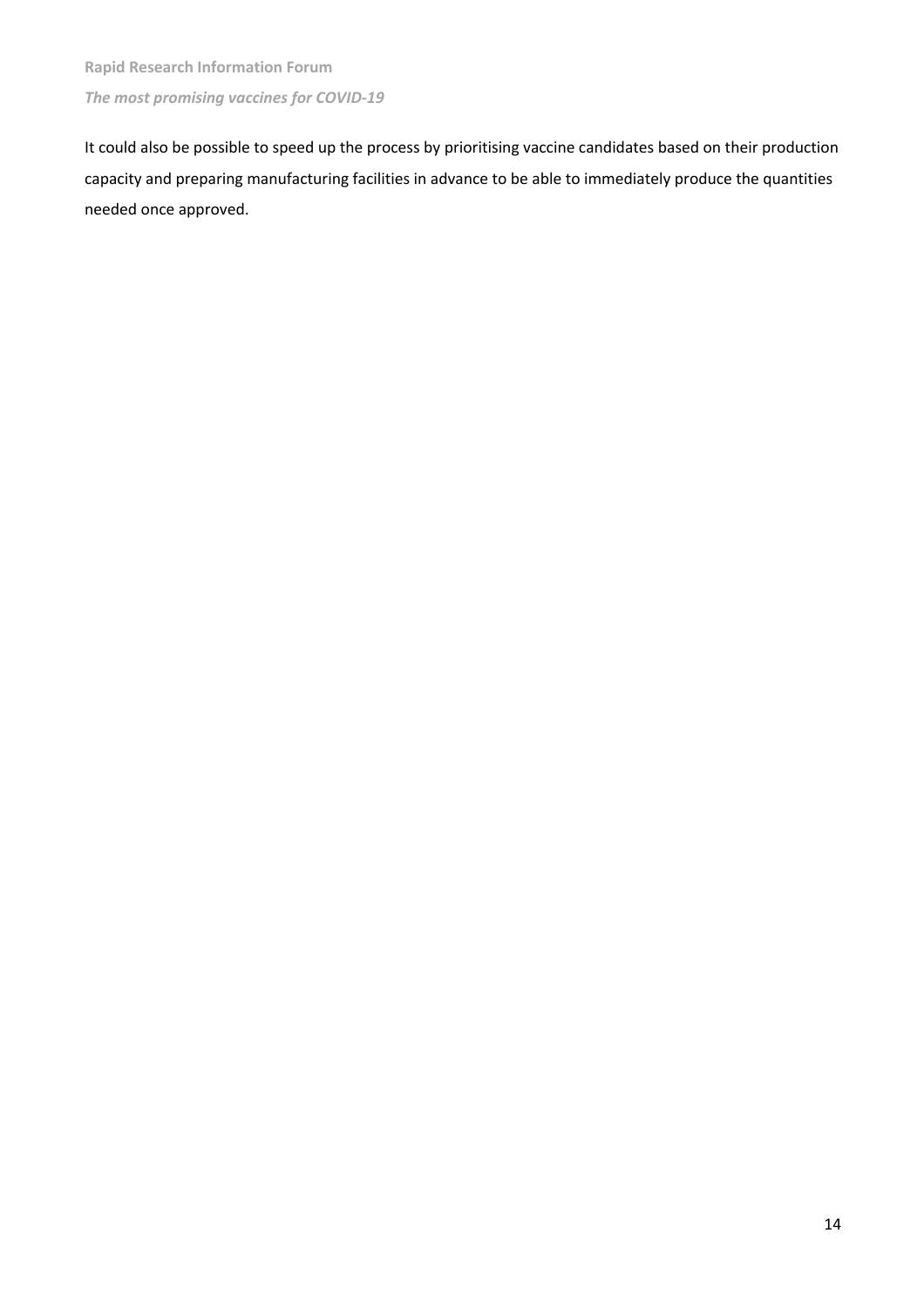It could also be possible to speed up the process by prioritising vaccine candidates based on their production capacity and preparing manufacturing facilities in advance to be able to immediately produce the quantities needed once approved.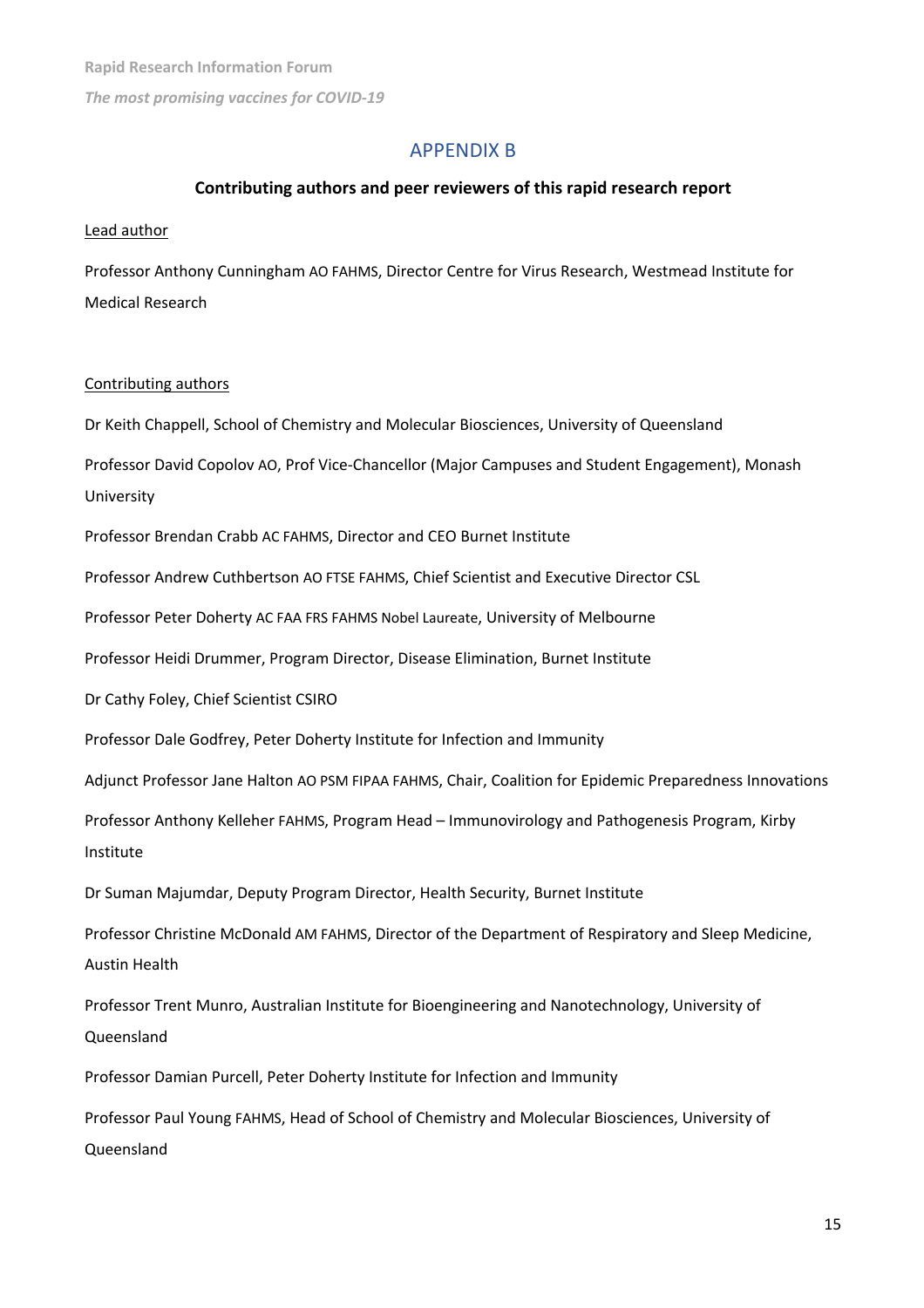# APPENDIX B

#### **Contributing authors and peer reviewers of this rapid research report**

#### Lead author

Professor Anthony Cunningham AO FAHMS, Director Centre for Virus Research, Westmead Institute for Medical Research

#### Contributing authors

Dr Keith Chappell, School of Chemistry and Molecular Biosciences, University of Queensland

Professor David Copolov AO, Prof Vice-Chancellor (Major Campuses and Student Engagement), Monash University

Professor Brendan Crabb AC FAHMS, Director and CEO Burnet Institute

Professor Andrew Cuthbertson AO FTSE FAHMS, Chief Scientist and Executive Director CSL

Professor Peter Doherty AC FAA FRS FAHMS Nobel Laureate, University of Melbourne

Professor Heidi Drummer, Program Director, Disease Elimination, Burnet Institute

Dr Cathy Foley, Chief Scientist CSIRO

Professor Dale Godfrey, Peter Doherty Institute for Infection and Immunity

Adjunct Professor Jane Halton AO PSM FIPAA FAHMS, Chair, Coalition for Epidemic Preparedness Innovations

Professor Anthony Kelleher FAHMS, Program Head – Immunovirology and Pathogenesis Program, Kirby Institute

Dr Suman Majumdar, Deputy Program Director, Health Security, Burnet Institute

Professor Christine McDonald AM FAHMS, Director of the Department of Respiratory and Sleep Medicine, Austin Health

Professor Trent Munro, Australian Institute for Bioengineering and Nanotechnology, University of Queensland

Professor Damian Purcell, Peter Doherty Institute for Infection and Immunity

Professor Paul Young FAHMS, Head of School of Chemistry and Molecular Biosciences, University of Queensland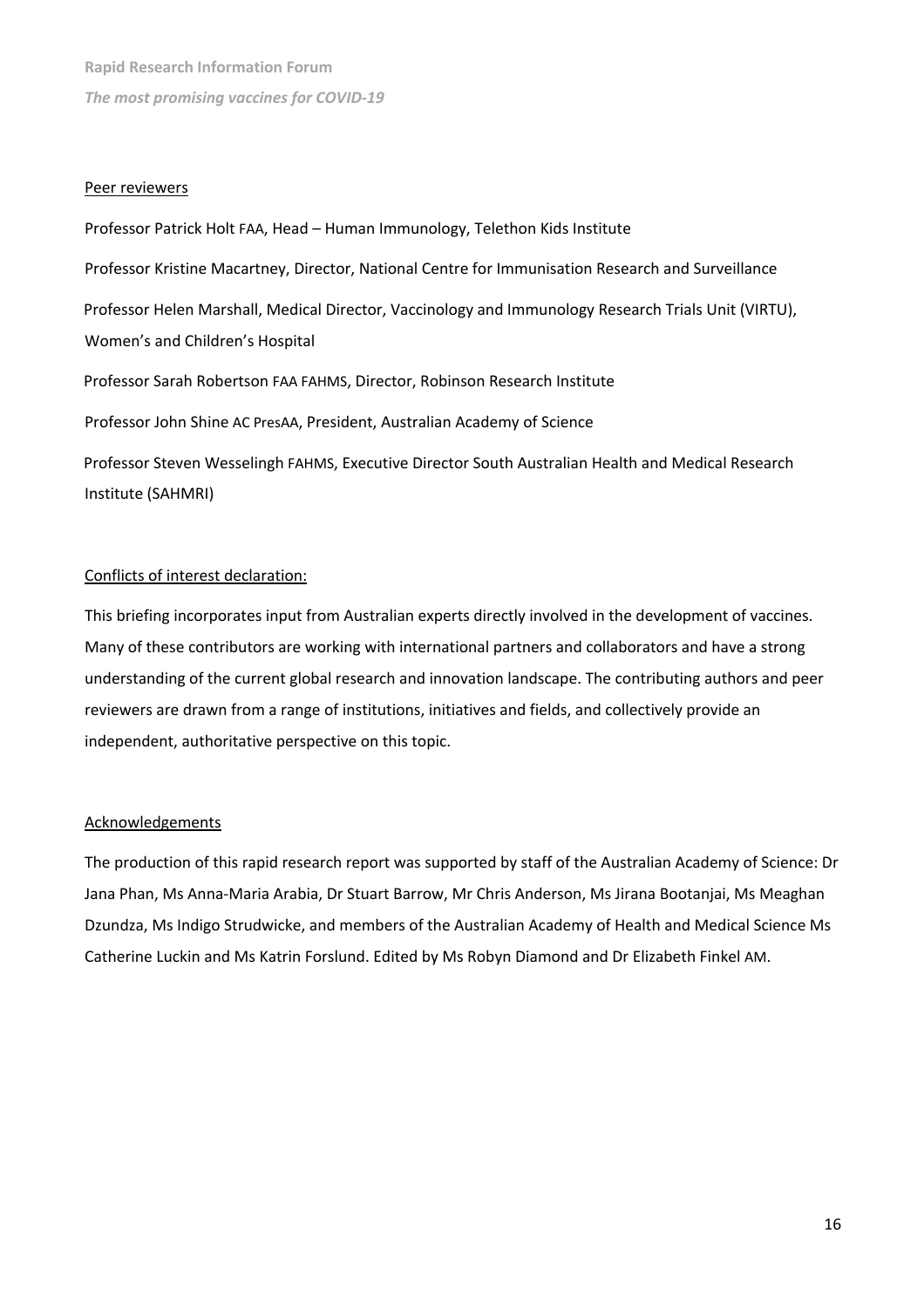#### Peer reviewers

Professor Patrick Holt FAA, Head – Human Immunology, Telethon Kids Institute Professor Kristine Macartney, Director, National Centre for Immunisation Research and Surveillance Professor Helen Marshall, Medical Director, Vaccinology and Immunology Research Trials Unit (VIRTU), Women's and Children's Hospital

Professor Sarah Robertson FAA FAHMS, Director, Robinson Research Institute Professor John Shine AC PresAA, President, Australian Academy of Science Professor Steven Wesselingh FAHMS, Executive Director South Australian Health and Medical Research Institute (SAHMRI)

#### Conflicts of interest declaration:

This briefing incorporates input from Australian experts directly involved in the development of vaccines. Many of these contributors are working with international partners and collaborators and have a strong understanding of the current global research and innovation landscape. The contributing authors and peer reviewers are drawn from a range of institutions, initiatives and fields, and collectively provide an independent, authoritative perspective on this topic.

#### **Acknowledgements**

The production of this rapid research report was supported by staff of the Australian Academy of Science: Dr Jana Phan, Ms Anna-Maria Arabia, Dr Stuart Barrow, Mr Chris Anderson, Ms Jirana Bootanjai, Ms Meaghan Dzundza, Ms Indigo Strudwicke, and members of the Australian Academy of Health and Medical Science Ms Catherine Luckin and Ms Katrin Forslund. Edited by Ms Robyn Diamond and Dr Elizabeth Finkel AM.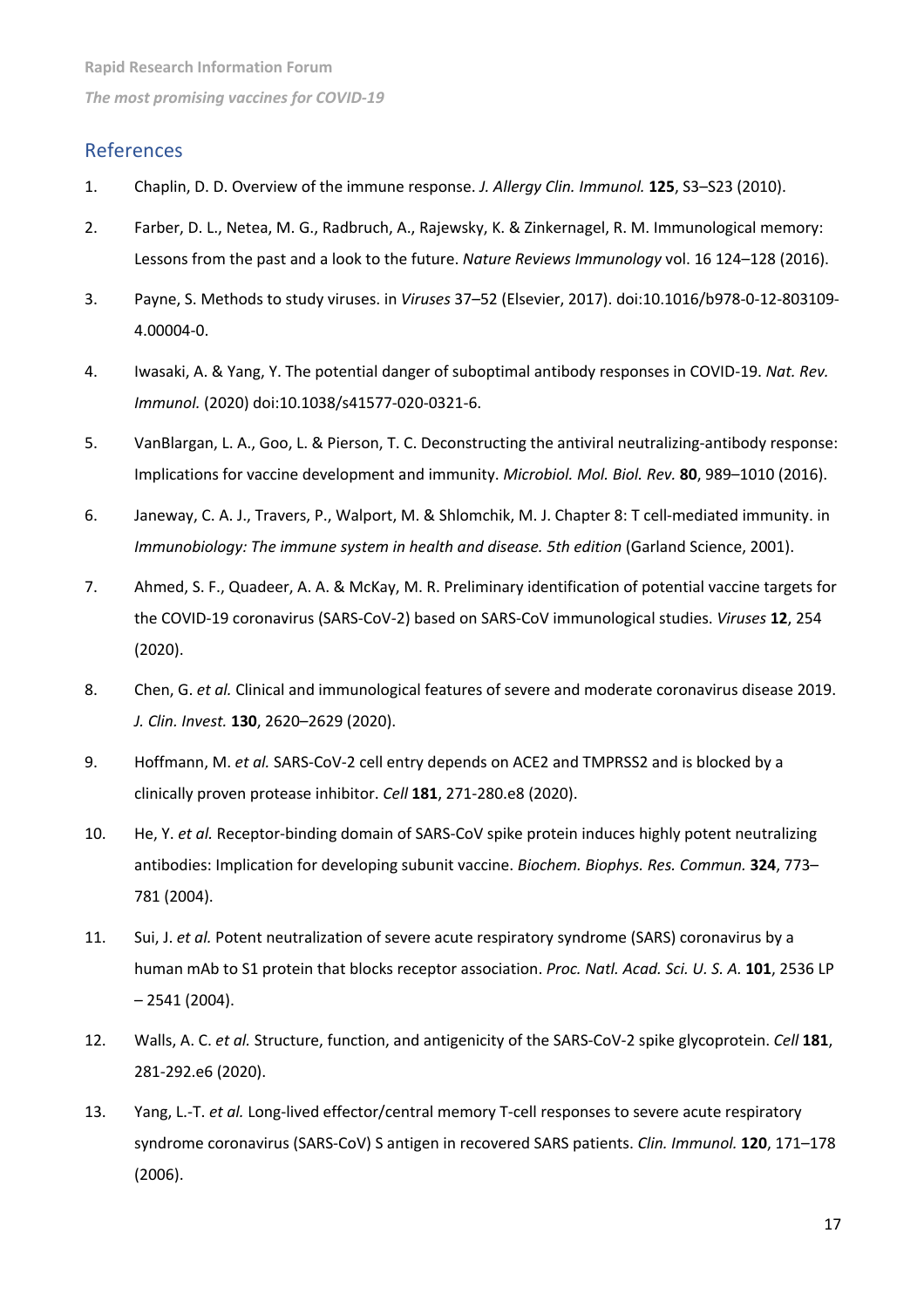# References

- 1. Chaplin, D. D. Overview of the immune response. *J. Allergy Clin. Immunol.* **125**, S3–S23 (2010).
- 2. Farber, D. L., Netea, M. G., Radbruch, A., Rajewsky, K. & Zinkernagel, R. M. Immunological memory: Lessons from the past and a look to the future. *Nature Reviews Immunology* vol. 16 124–128 (2016).
- 3. Payne, S. Methods to study viruses. in *Viruses* 37–52 (Elsevier, 2017). doi:10.1016/b978-0-12-803109- 4.00004-0.
- 4. Iwasaki, A. & Yang, Y. The potential danger of suboptimal antibody responses in COVID-19. *Nat. Rev. Immunol.* (2020) doi:10.1038/s41577-020-0321-6.
- 5. VanBlargan, L. A., Goo, L. & Pierson, T. C. Deconstructing the antiviral neutralizing-antibody response: Implications for vaccine development and immunity. *Microbiol. Mol. Biol. Rev.* **80**, 989–1010 (2016).
- 6. Janeway, C. A. J., Travers, P., Walport, M. & Shlomchik, M. J. Chapter 8: T cell-mediated immunity. in *Immunobiology: The immune system in health and disease. 5th edition* (Garland Science, 2001).
- 7. Ahmed, S. F., Quadeer, A. A. & McKay, M. R. Preliminary identification of potential vaccine targets for the COVID-19 coronavirus (SARS-CoV-2) based on SARS-CoV immunological studies. *Viruses* **12**, 254 (2020).
- 8. Chen, G. *et al.* Clinical and immunological features of severe and moderate coronavirus disease 2019. *J. Clin. Invest.* **130**, 2620–2629 (2020).
- 9. Hoffmann, M. *et al.* SARS-CoV-2 cell entry depends on ACE2 and TMPRSS2 and is blocked by a clinically proven protease inhibitor. *Cell* **181**, 271-280.e8 (2020).
- 10. He, Y. *et al.* Receptor-binding domain of SARS-CoV spike protein induces highly potent neutralizing antibodies: Implication for developing subunit vaccine. *Biochem. Biophys. Res. Commun.* **324**, 773– 781 (2004).
- 11. Sui, J. *et al.* Potent neutralization of severe acute respiratory syndrome (SARS) coronavirus by a human mAb to S1 protein that blocks receptor association. *Proc. Natl. Acad. Sci. U. S. A.* **101**, 2536 LP – 2541 (2004).
- 12. Walls, A. C. *et al.* Structure, function, and antigenicity of the SARS-CoV-2 spike glycoprotein. *Cell* **181**, 281-292.e6 (2020).
- 13. Yang, L.-T. *et al.* Long-lived effector/central memory T-cell responses to severe acute respiratory syndrome coronavirus (SARS-CoV) S antigen in recovered SARS patients. *Clin. Immunol.* **120**, 171–178 (2006).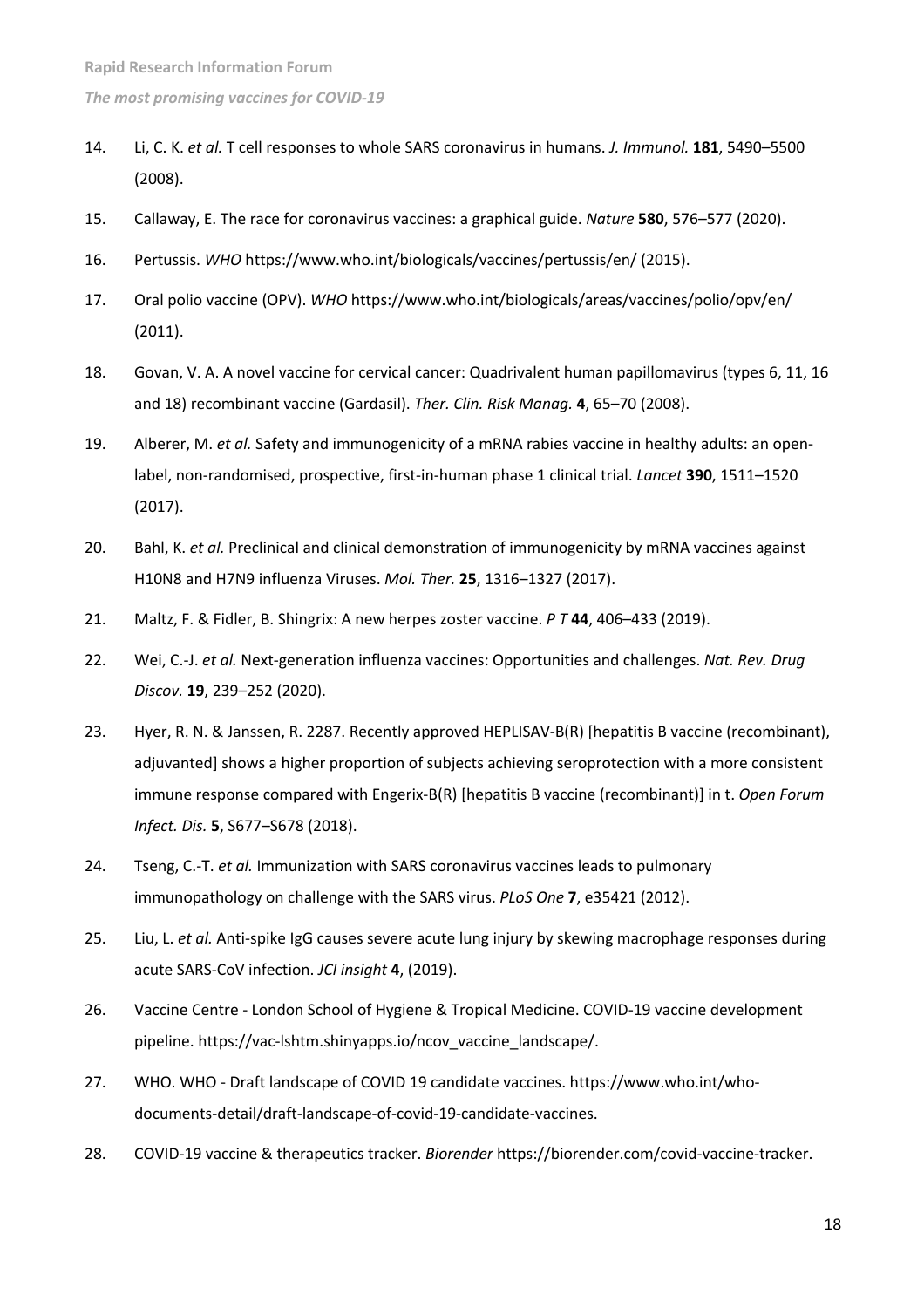- 14. Li, C. K. *et al.* T cell responses to whole SARS coronavirus in humans. *J. Immunol.* **181**, 5490–5500 (2008).
- 15. Callaway, E. The race for coronavirus vaccines: a graphical guide. *Nature* **580**, 576–577 (2020).
- 16. Pertussis. *WHO* https://www.who.int/biologicals/vaccines/pertussis/en/ (2015).
- 17. Oral polio vaccine (OPV). *WHO* https://www.who.int/biologicals/areas/vaccines/polio/opv/en/ (2011).
- 18. Govan, V. A. A novel vaccine for cervical cancer: Quadrivalent human papillomavirus (types 6, 11, 16 and 18) recombinant vaccine (Gardasil). *Ther. Clin. Risk Manag.* **4**, 65–70 (2008).
- 19. Alberer, M. *et al.* Safety and immunogenicity of a mRNA rabies vaccine in healthy adults: an openlabel, non-randomised, prospective, first-in-human phase 1 clinical trial. *Lancet* **390**, 1511–1520 (2017).
- 20. Bahl, K. *et al.* Preclinical and clinical demonstration of immunogenicity by mRNA vaccines against H10N8 and H7N9 influenza Viruses. *Mol. Ther.* **25**, 1316–1327 (2017).
- 21. Maltz, F. & Fidler, B. Shingrix: A new herpes zoster vaccine. *P T* **44**, 406–433 (2019).
- 22. Wei, C.-J. *et al.* Next-generation influenza vaccines: Opportunities and challenges. *Nat. Rev. Drug Discov.* **19**, 239–252 (2020).
- 23. Hyer, R. N. & Janssen, R. 2287. Recently approved HEPLISAV-B(R) [hepatitis B vaccine (recombinant), adjuvanted] shows a higher proportion of subjects achieving seroprotection with a more consistent immune response compared with Engerix-B(R) [hepatitis B vaccine (recombinant)] in t. *Open Forum Infect. Dis.* **5**, S677–S678 (2018).
- 24. Tseng, C.-T. *et al.* Immunization with SARS coronavirus vaccines leads to pulmonary immunopathology on challenge with the SARS virus. *PLoS One* **7**, e35421 (2012).
- 25. Liu, L. *et al.* Anti-spike IgG causes severe acute lung injury by skewing macrophage responses during acute SARS-CoV infection. *JCI insight* **4**, (2019).
- 26. Vaccine Centre London School of Hygiene & Tropical Medicine. COVID-19 vaccine development pipeline. https://vac-lshtm.shinyapps.io/ncov\_vaccine\_landscape/.
- 27. WHO. WHO Draft landscape of COVID 19 candidate vaccines. https://www.who.int/whodocuments-detail/draft-landscape-of-covid-19-candidate-vaccines.
- 28. COVID-19 vaccine & therapeutics tracker. *Biorender* https://biorender.com/covid-vaccine-tracker.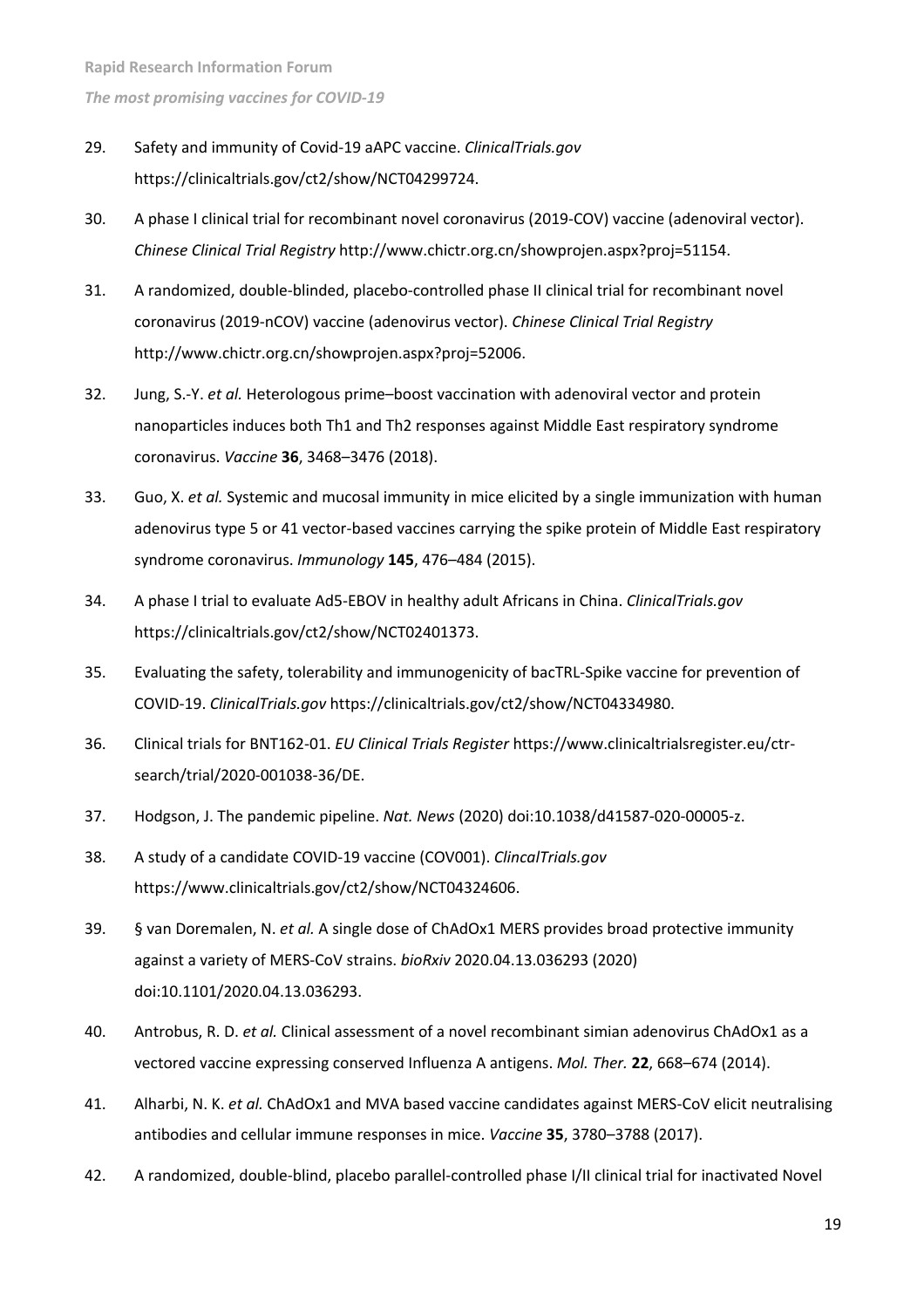- 29. Safety and immunity of Covid-19 aAPC vaccine. *ClinicalTrials.gov* https://clinicaltrials.gov/ct2/show/NCT04299724.
- 30. A phase I clinical trial for recombinant novel coronavirus (2019-COV) vaccine (adenoviral vector). *Chinese Clinical Trial Registry* http://www.chictr.org.cn/showprojen.aspx?proj=51154.
- 31. A randomized, double-blinded, placebo-controlled phase II clinical trial for recombinant novel coronavirus (2019-nCOV) vaccine (adenovirus vector). *Chinese Clinical Trial Registry* http://www.chictr.org.cn/showprojen.aspx?proj=52006.
- 32. Jung, S.-Y. *et al.* Heterologous prime–boost vaccination with adenoviral vector and protein nanoparticles induces both Th1 and Th2 responses against Middle East respiratory syndrome coronavirus. *Vaccine* **36**, 3468–3476 (2018).
- 33. Guo, X. *et al.* Systemic and mucosal immunity in mice elicited by a single immunization with human adenovirus type 5 or 41 vector-based vaccines carrying the spike protein of Middle East respiratory syndrome coronavirus. *Immunology* **145**, 476–484 (2015).
- 34. A phase I trial to evaluate Ad5-EBOV in healthy adult Africans in China. *ClinicalTrials.gov* https://clinicaltrials.gov/ct2/show/NCT02401373.
- 35. Evaluating the safety, tolerability and immunogenicity of bacTRL-Spike vaccine for prevention of COVID-19. *ClinicalTrials.gov* https://clinicaltrials.gov/ct2/show/NCT04334980.
- 36. Clinical trials for BNT162-01. *EU Clinical Trials Register* https://www.clinicaltrialsregister.eu/ctrsearch/trial/2020-001038-36/DE.
- 37. Hodgson, J. The pandemic pipeline. *Nat. News* (2020) doi:10.1038/d41587-020-00005-z.
- 38. A study of a candidate COVID-19 vaccine (COV001). *ClincalTrials.gov* https://www.clinicaltrials.gov/ct2/show/NCT04324606.
- 39. § van Doremalen, N. *et al.* A single dose of ChAdOx1 MERS provides broad protective immunity against a variety of MERS-CoV strains. *bioRxiv* 2020.04.13.036293 (2020) doi:10.1101/2020.04.13.036293.
- 40. Antrobus, R. D. *et al.* Clinical assessment of a novel recombinant simian adenovirus ChAdOx1 as a vectored vaccine expressing conserved Influenza A antigens. *Mol. Ther.* **22**, 668–674 (2014).
- 41. Alharbi, N. K. *et al.* ChAdOx1 and MVA based vaccine candidates against MERS-CoV elicit neutralising antibodies and cellular immune responses in mice. *Vaccine* **35**, 3780–3788 (2017).
- 42. A randomized, double-blind, placebo parallel-controlled phase I/II clinical trial for inactivated Novel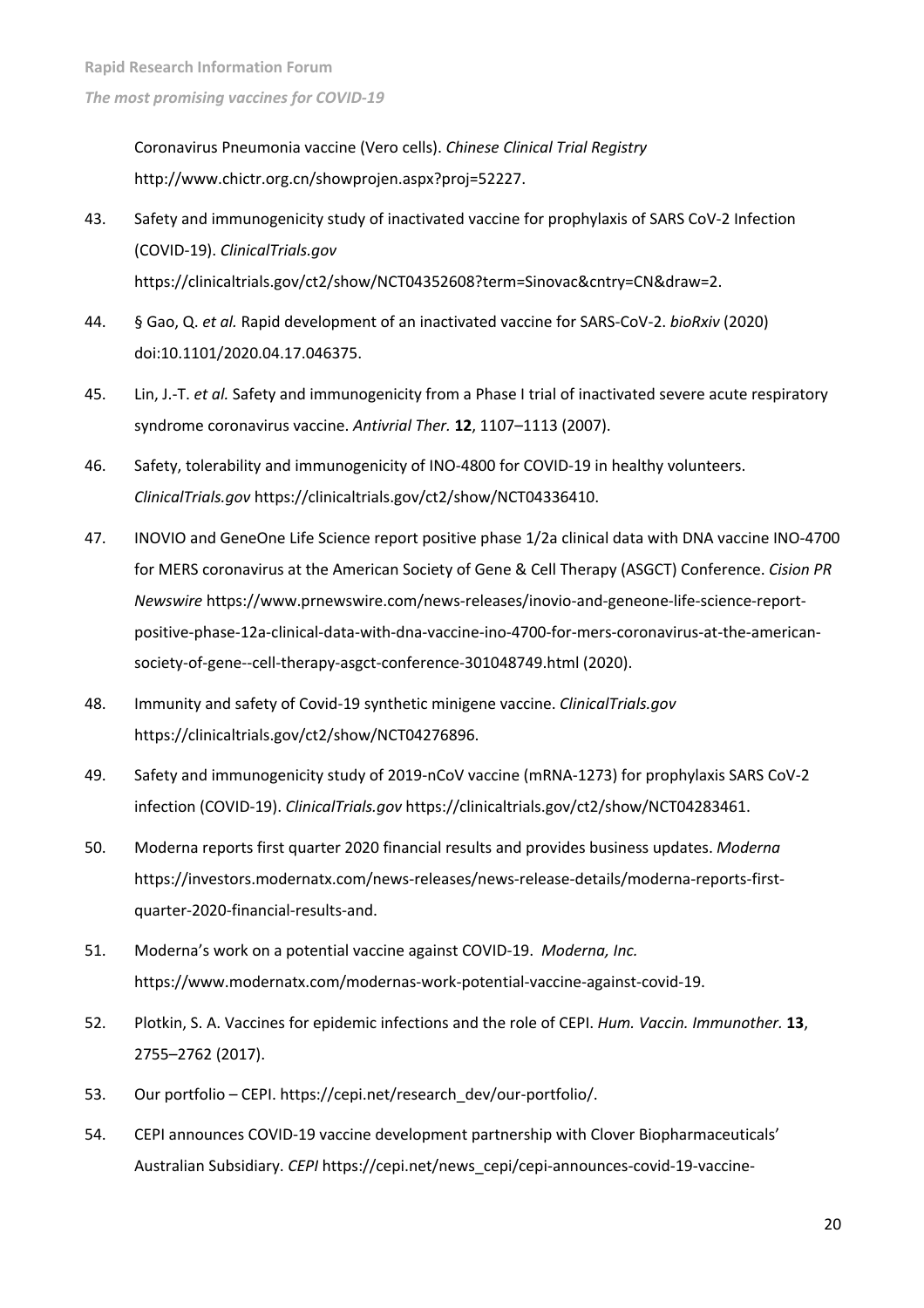Coronavirus Pneumonia vaccine (Vero cells). *Chinese Clinical Trial Registry* http://www.chictr.org.cn/showprojen.aspx?proj=52227.

- 43. Safety and immunogenicity study of inactivated vaccine for prophylaxis of SARS CoV-2 Infection (COVID-19). *ClinicalTrials.gov* https://clinicaltrials.gov/ct2/show/NCT04352608?term=Sinovac&cntry=CN&draw=2.
- 44. § Gao, Q. *et al.* Rapid development of an inactivated vaccine for SARS-CoV-2. *bioRxiv* (2020) doi:10.1101/2020.04.17.046375.
- 45. Lin, J.-T. *et al.* Safety and immunogenicity from a Phase I trial of inactivated severe acute respiratory syndrome coronavirus vaccine. *Antivrial Ther.* **12**, 1107–1113 (2007).
- 46. Safety, tolerability and immunogenicity of INO-4800 for COVID-19 in healthy volunteers. *ClinicalTrials.gov* https://clinicaltrials.gov/ct2/show/NCT04336410.
- 47. INOVIO and GeneOne Life Science report positive phase 1/2a clinical data with DNA vaccine INO-4700 for MERS coronavirus at the American Society of Gene & Cell Therapy (ASGCT) Conference. *Cision PR Newswire* https://www.prnewswire.com/news-releases/inovio-and-geneone-life-science-reportpositive-phase-12a-clinical-data-with-dna-vaccine-ino-4700-for-mers-coronavirus-at-the-americansociety-of-gene--cell-therapy-asgct-conference-301048749.html (2020).
- 48. Immunity and safety of Covid-19 synthetic minigene vaccine. *ClinicalTrials.gov* https://clinicaltrials.gov/ct2/show/NCT04276896.
- 49. Safety and immunogenicity study of 2019-nCoV vaccine (mRNA-1273) for prophylaxis SARS CoV-2 infection (COVID-19). *ClinicalTrials.gov* https://clinicaltrials.gov/ct2/show/NCT04283461.
- 50. Moderna reports first quarter 2020 financial results and provides business updates. *Moderna* https://investors.modernatx.com/news-releases/news-release-details/moderna-reports-firstquarter-2020-financial-results-and.
- 51. Moderna's work on a potential vaccine against COVID-19. *Moderna, Inc.* https://www.modernatx.com/modernas-work-potential-vaccine-against-covid-19.
- 52. Plotkin, S. A. Vaccines for epidemic infections and the role of CEPI. *Hum. Vaccin. Immunother.* **13**, 2755–2762 (2017).
- 53. Our portfolio CEPI. https://cepi.net/research\_dev/our-portfolio/.
- 54. CEPI announces COVID-19 vaccine development partnership with Clover Biopharmaceuticals' Australian Subsidiary. *CEPI* https://cepi.net/news\_cepi/cepi-announces-covid-19-vaccine-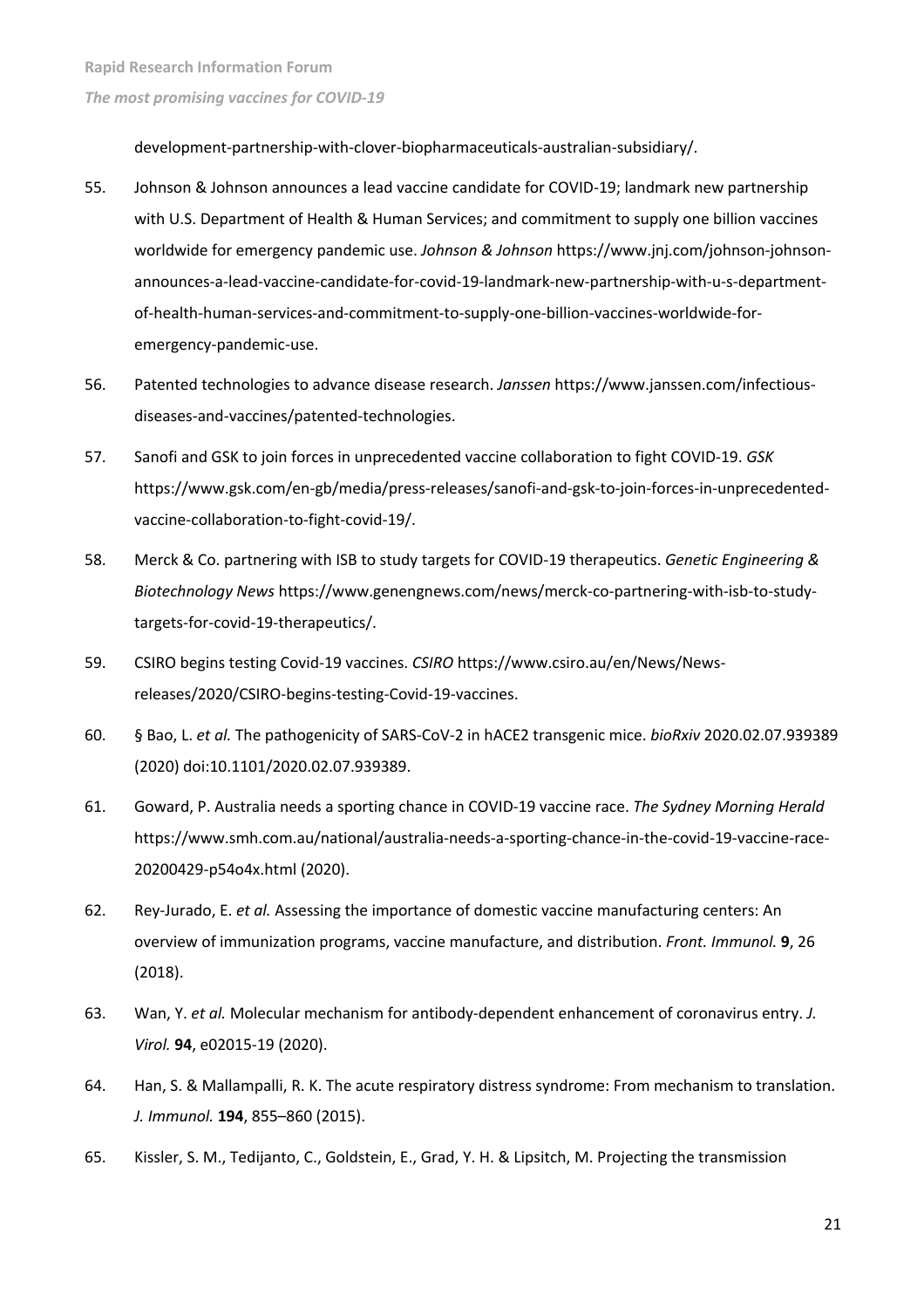development-partnership-with-clover-biopharmaceuticals-australian-subsidiary/.

- 55. Johnson & Johnson announces a lead vaccine candidate for COVID-19; landmark new partnership with U.S. Department of Health & Human Services; and commitment to supply one billion vaccines worldwide for emergency pandemic use. *Johnson & Johnson* https://www.jnj.com/johnson-johnsonannounces-a-lead-vaccine-candidate-for-covid-19-landmark-new-partnership-with-u-s-departmentof-health-human-services-and-commitment-to-supply-one-billion-vaccines-worldwide-foremergency-pandemic-use.
- 56. Patented technologies to advance disease research. *Janssen* https://www.janssen.com/infectiousdiseases-and-vaccines/patented-technologies.
- 57. Sanofi and GSK to join forces in unprecedented vaccine collaboration to fight COVID-19. *GSK* https://www.gsk.com/en-gb/media/press-releases/sanofi-and-gsk-to-join-forces-in-unprecedentedvaccine-collaboration-to-fight-covid-19/.
- 58. Merck & Co. partnering with ISB to study targets for COVID-19 therapeutics. *Genetic Engineering & Biotechnology News* https://www.genengnews.com/news/merck-co-partnering-with-isb-to-studytargets-for-covid-19-therapeutics/.
- 59. CSIRO begins testing Covid-19 vaccines. *CSIRO* https://www.csiro.au/en/News/Newsreleases/2020/CSIRO-begins-testing-Covid-19-vaccines.
- 60. § Bao, L. *et al.* The pathogenicity of SARS-CoV-2 in hACE2 transgenic mice. *bioRxiv* 2020.02.07.939389 (2020) doi:10.1101/2020.02.07.939389.
- 61. Goward, P. Australia needs a sporting chance in COVID-19 vaccine race. *The Sydney Morning Herald* https://www.smh.com.au/national/australia-needs-a-sporting-chance-in-the-covid-19-vaccine-race-20200429-p54o4x.html (2020).
- 62. Rey-Jurado, E. *et al.* Assessing the importance of domestic vaccine manufacturing centers: An overview of immunization programs, vaccine manufacture, and distribution. *Front. Immunol.* **9**, 26 (2018).
- 63. Wan, Y. *et al.* Molecular mechanism for antibody-dependent enhancement of coronavirus entry. *J. Virol.* **94**, e02015-19 (2020).
- 64. Han, S. & Mallampalli, R. K. The acute respiratory distress syndrome: From mechanism to translation. *J. Immunol.* **194**, 855–860 (2015).
- 65. Kissler, S. M., Tedijanto, C., Goldstein, E., Grad, Y. H. & Lipsitch, M. Projecting the transmission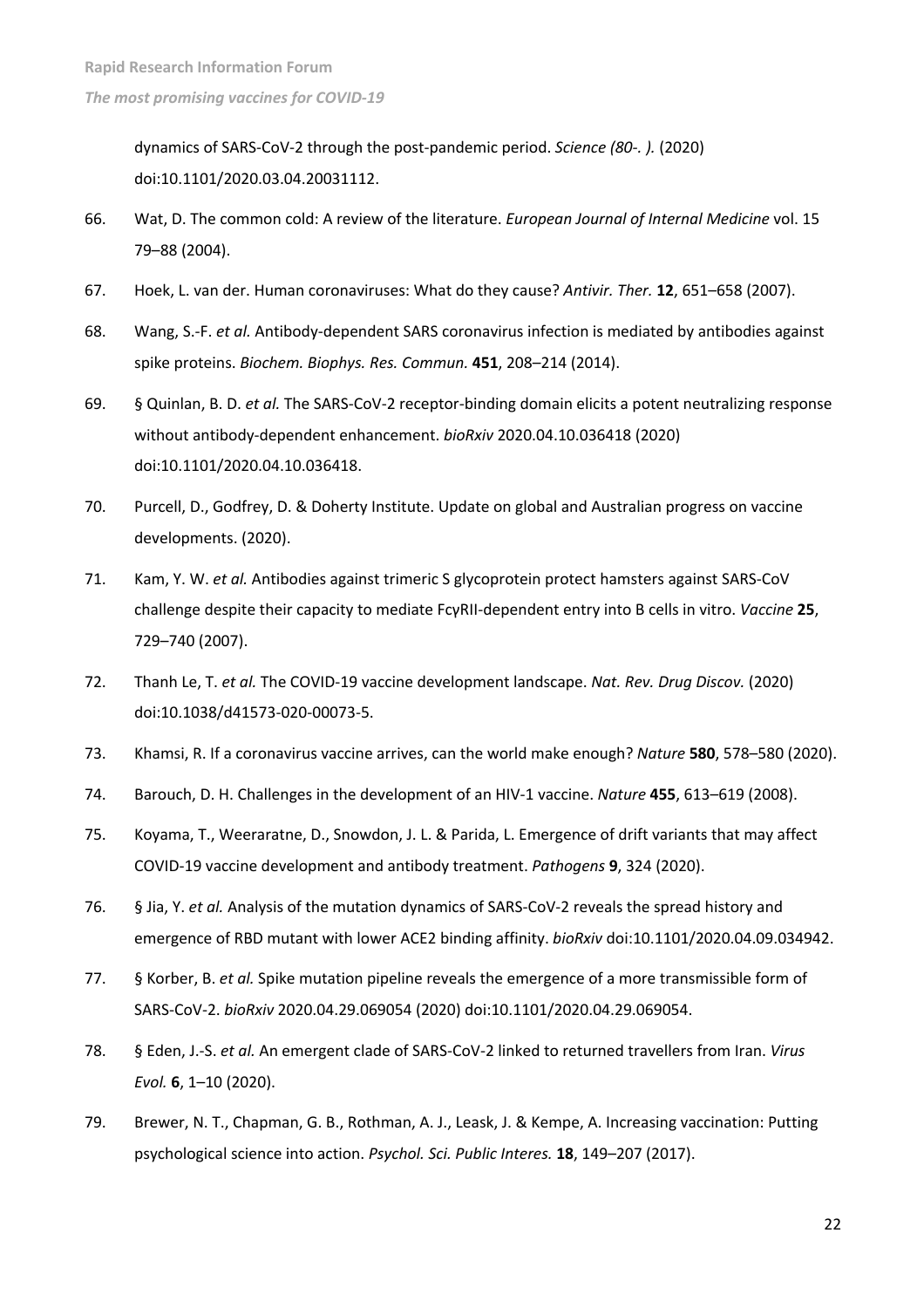dynamics of SARS-CoV-2 through the post-pandemic period. *Science (80-. ).* (2020) doi:10.1101/2020.03.04.20031112.

- 66. Wat, D. The common cold: A review of the literature. *European Journal of Internal Medicine* vol. 15 79–88 (2004).
- 67. Hoek, L. van der. Human coronaviruses: What do they cause? *Antivir. Ther.* **12**, 651–658 (2007).
- 68. Wang, S.-F. *et al.* Antibody-dependent SARS coronavirus infection is mediated by antibodies against spike proteins. *Biochem. Biophys. Res. Commun.* **451**, 208–214 (2014).
- 69. § Quinlan, B. D. *et al.* The SARS-CoV-2 receptor-binding domain elicits a potent neutralizing response without antibody-dependent enhancement. *bioRxiv* 2020.04.10.036418 (2020) doi:10.1101/2020.04.10.036418.
- 70. Purcell, D., Godfrey, D. & Doherty Institute. Update on global and Australian progress on vaccine developments. (2020).
- 71. Kam, Y. W. *et al.* Antibodies against trimeric S glycoprotein protect hamsters against SARS-CoV challenge despite their capacity to mediate FcγRII-dependent entry into B cells in vitro. *Vaccine* **25**, 729–740 (2007).
- 72. Thanh Le, T. *et al.* The COVID-19 vaccine development landscape. *Nat. Rev. Drug Discov.* (2020) doi:10.1038/d41573-020-00073-5.
- 73. Khamsi, R. If a coronavirus vaccine arrives, can the world make enough? *Nature* **580**, 578–580 (2020).
- 74. Barouch, D. H. Challenges in the development of an HIV-1 vaccine. *Nature* **455**, 613–619 (2008).
- 75. Koyama, T., Weeraratne, D., Snowdon, J. L. & Parida, L. Emergence of drift variants that may affect COVID-19 vaccine development and antibody treatment. *Pathogens* **9**, 324 (2020).
- 76. § Jia, Y. *et al.* Analysis of the mutation dynamics of SARS-CoV-2 reveals the spread history and emergence of RBD mutant with lower ACE2 binding affinity. *bioRxiv* doi:10.1101/2020.04.09.034942.
- 77. § Korber, B. *et al.* Spike mutation pipeline reveals the emergence of a more transmissible form of SARS-CoV-2. *bioRxiv* 2020.04.29.069054 (2020) doi:10.1101/2020.04.29.069054.
- 78. § Eden, J.-S. *et al.* An emergent clade of SARS-CoV-2 linked to returned travellers from Iran. *Virus Evol.* **6**, 1–10 (2020).
- 79. Brewer, N. T., Chapman, G. B., Rothman, A. J., Leask, J. & Kempe, A. Increasing vaccination: Putting psychological science into action. *Psychol. Sci. Public Interes.* **18**, 149–207 (2017).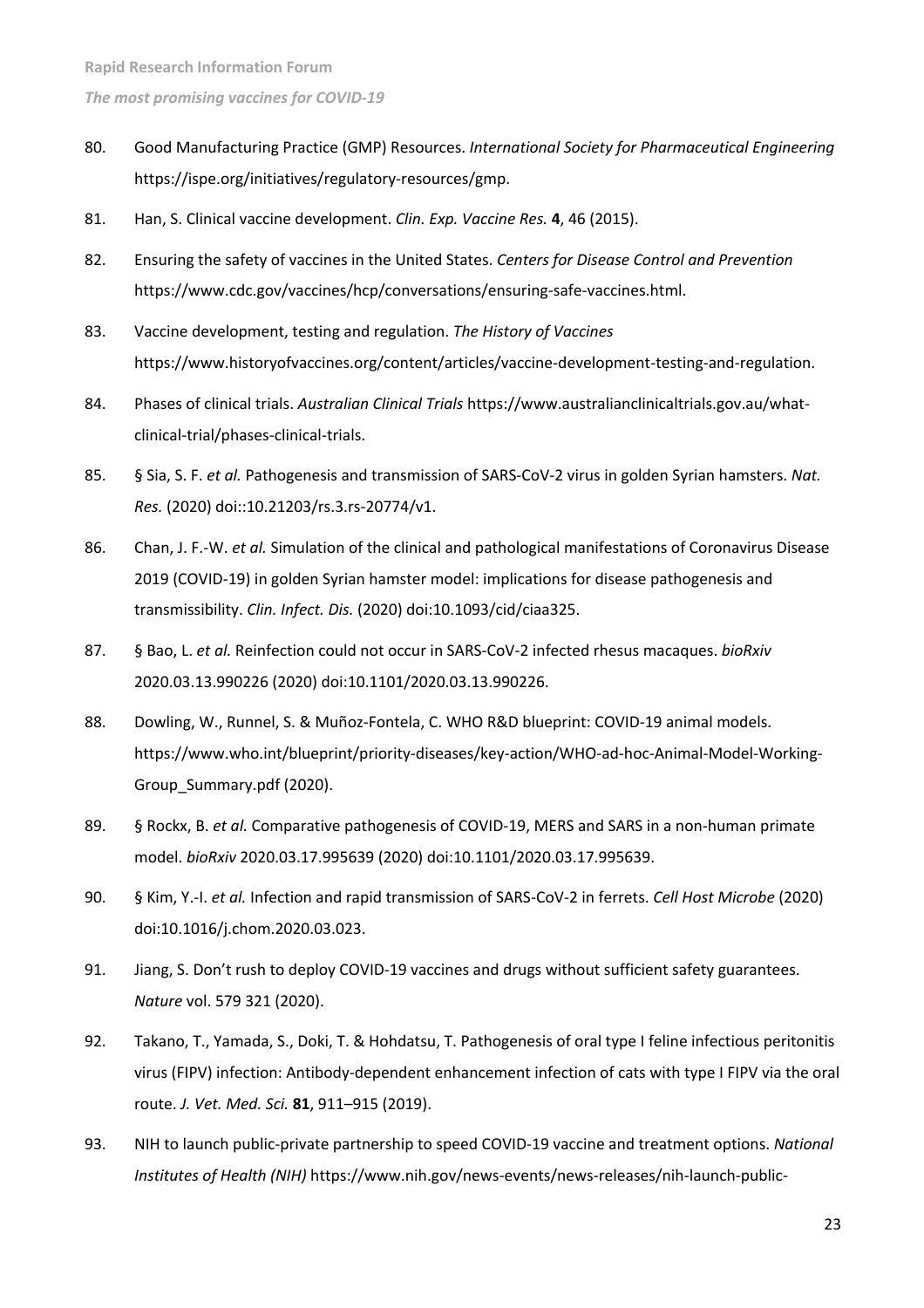- 80. Good Manufacturing Practice (GMP) Resources. *International Society for Pharmaceutical Engineering* https://ispe.org/initiatives/regulatory-resources/gmp.
- 81. Han, S. Clinical vaccine development. *Clin. Exp. Vaccine Res.* **4**, 46 (2015).
- 82. Ensuring the safety of vaccines in the United States. *Centers for Disease Control and Prevention* https://www.cdc.gov/vaccines/hcp/conversations/ensuring-safe-vaccines.html.
- 83. Vaccine development, testing and regulation. *The History of Vaccines* https://www.historyofvaccines.org/content/articles/vaccine-development-testing-and-regulation.
- 84. Phases of clinical trials. *Australian Clinical Trials* https://www.australianclinicaltrials.gov.au/whatclinical-trial/phases-clinical-trials.
- 85. § Sia, S. F. *et al.* Pathogenesis and transmission of SARS-CoV-2 virus in golden Syrian hamsters. *Nat. Res.* (2020) doi::10.21203/rs.3.rs-20774/v1.
- 86. Chan, J. F.-W. *et al.* Simulation of the clinical and pathological manifestations of Coronavirus Disease 2019 (COVID-19) in golden Syrian hamster model: implications for disease pathogenesis and transmissibility. *Clin. Infect. Dis.* (2020) doi:10.1093/cid/ciaa325.
- 87. § Bao, L. *et al.* Reinfection could not occur in SARS-CoV-2 infected rhesus macaques. *bioRxiv* 2020.03.13.990226 (2020) doi:10.1101/2020.03.13.990226.
- 88. Dowling, W., Runnel, S. & Muñoz-Fontela, C. WHO R&D blueprint: COVID-19 animal models. https://www.who.int/blueprint/priority-diseases/key-action/WHO-ad-hoc-Animal-Model-Working-Group\_Summary.pdf (2020).
- 89. § Rockx, B. *et al.* Comparative pathogenesis of COVID-19, MERS and SARS in a non-human primate model. *bioRxiv* 2020.03.17.995639 (2020) doi:10.1101/2020.03.17.995639.
- 90. § Kim, Y.-I. *et al.* Infection and rapid transmission of SARS-CoV-2 in ferrets. *Cell Host Microbe* (2020) doi:10.1016/j.chom.2020.03.023.
- 91. Jiang, S. Don't rush to deploy COVID-19 vaccines and drugs without sufficient safety guarantees. *Nature* vol. 579 321 (2020).
- 92. Takano, T., Yamada, S., Doki, T. & Hohdatsu, T. Pathogenesis of oral type I feline infectious peritonitis virus (FIPV) infection: Antibody-dependent enhancement infection of cats with type I FIPV via the oral route. *J. Vet. Med. Sci.* **81**, 911–915 (2019).
- 93. NIH to launch public-private partnership to speed COVID-19 vaccine and treatment options. *National Institutes of Health (NIH)* https://www.nih.gov/news-events/news-releases/nih-launch-public-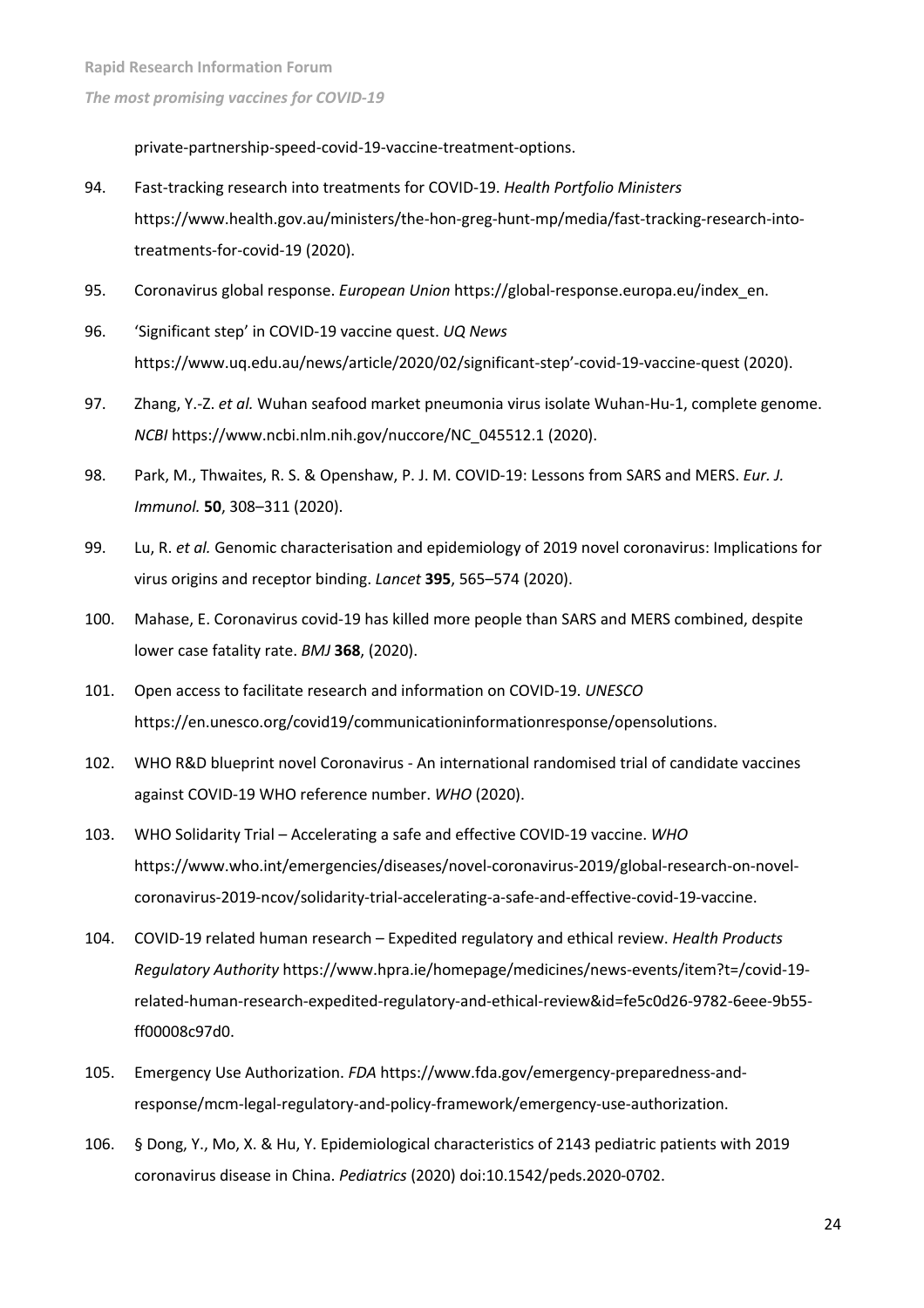private-partnership-speed-covid-19-vaccine-treatment-options.

- 94. Fast-tracking research into treatments for COVID-19. *Health Portfolio Ministers* https://www.health.gov.au/ministers/the-hon-greg-hunt-mp/media/fast-tracking-research-intotreatments-for-covid-19 (2020).
- 95. Coronavirus global response. *European Union* https://global-response.europa.eu/index\_en.
- 96. 'Significant step' in COVID-19 vaccine quest. *UQ News* https://www.uq.edu.au/news/article/2020/02/significant-step'-covid-19-vaccine-quest (2020).
- 97. Zhang, Y.-Z. *et al.* Wuhan seafood market pneumonia virus isolate Wuhan-Hu-1, complete genome. *NCBI* https://www.ncbi.nlm.nih.gov/nuccore/NC\_045512.1 (2020).
- 98. Park, M., Thwaites, R. S. & Openshaw, P. J. M. COVID-19: Lessons from SARS and MERS. *Eur. J. Immunol.* **50**, 308–311 (2020).
- 99. Lu, R. *et al.* Genomic characterisation and epidemiology of 2019 novel coronavirus: Implications for virus origins and receptor binding. *Lancet* **395**, 565–574 (2020).
- 100. Mahase, E. Coronavirus covid-19 has killed more people than SARS and MERS combined, despite lower case fatality rate. *BMJ* **368**, (2020).
- 101. Open access to facilitate research and information on COVID-19. *UNESCO* https://en.unesco.org/covid19/communicationinformationresponse/opensolutions.
- 102. WHO R&D blueprint novel Coronavirus An international randomised trial of candidate vaccines against COVID-19 WHO reference number. *WHO* (2020).
- 103. WHO Solidarity Trial Accelerating a safe and effective COVID-19 vaccine. *WHO* https://www.who.int/emergencies/diseases/novel-coronavirus-2019/global-research-on-novelcoronavirus-2019-ncov/solidarity-trial-accelerating-a-safe-and-effective-covid-19-vaccine.
- 104. COVID-19 related human research Expedited regulatory and ethical review. *Health Products Regulatory Authority* https://www.hpra.ie/homepage/medicines/news-events/item?t=/covid-19 related-human-research-expedited-regulatory-and-ethical-review&id=fe5c0d26-9782-6eee-9b55 ff00008c97d0.
- 105. Emergency Use Authorization. *FDA* https://www.fda.gov/emergency-preparedness-andresponse/mcm-legal-regulatory-and-policy-framework/emergency-use-authorization.
- 106. § Dong, Y., Mo, X. & Hu, Y. Epidemiological characteristics of 2143 pediatric patients with 2019 coronavirus disease in China. *Pediatrics* (2020) doi:10.1542/peds.2020-0702.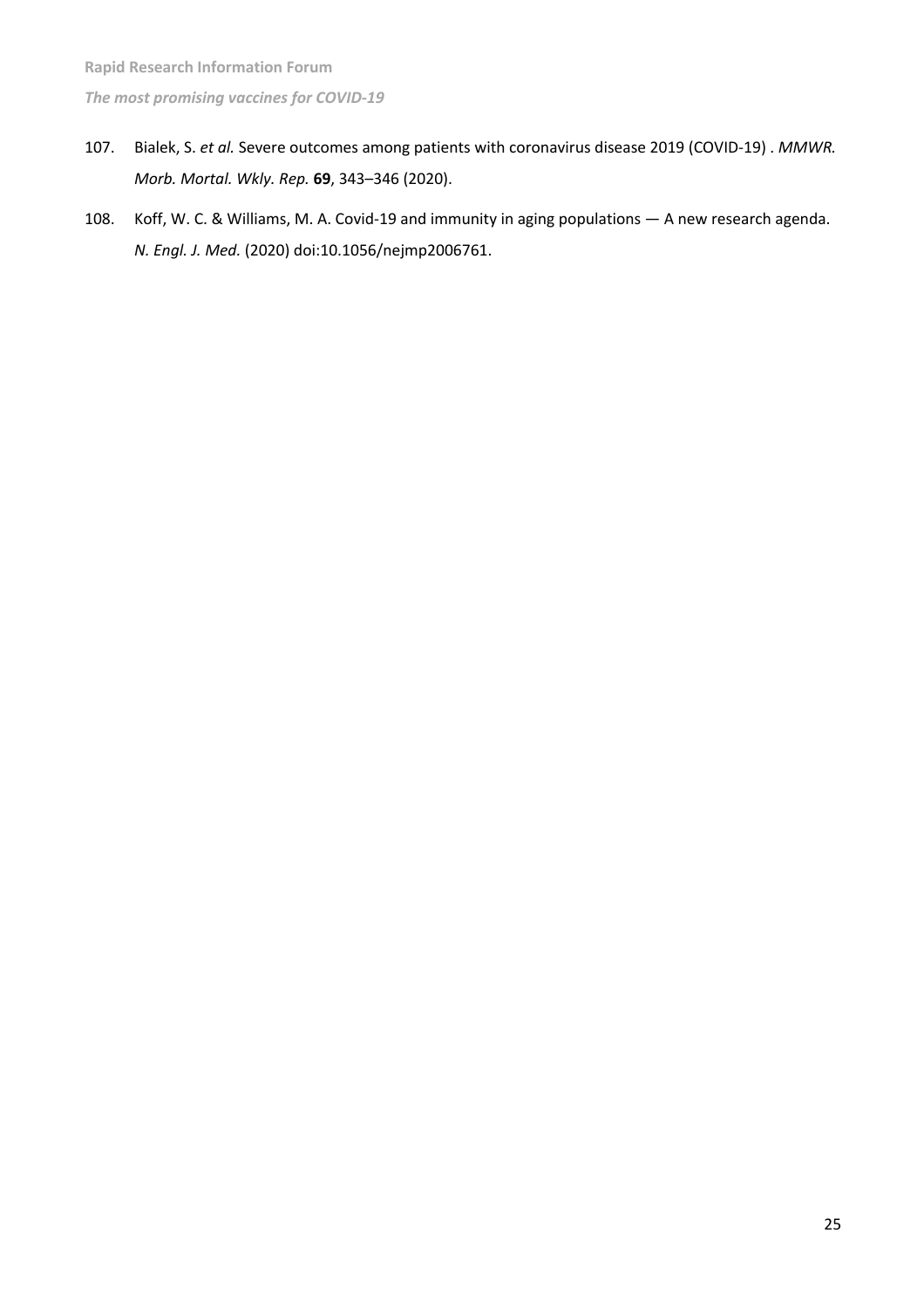- 107. Bialek, S. *et al.* Severe outcomes among patients with coronavirus disease 2019 (COVID-19) . *MMWR. Morb. Mortal. Wkly. Rep.* **69**, 343–346 (2020).
- 108. Koff, W. C. & Williams, M. A. Covid-19 and immunity in aging populations A new research agenda. *N. Engl. J. Med.* (2020) doi:10.1056/nejmp2006761.